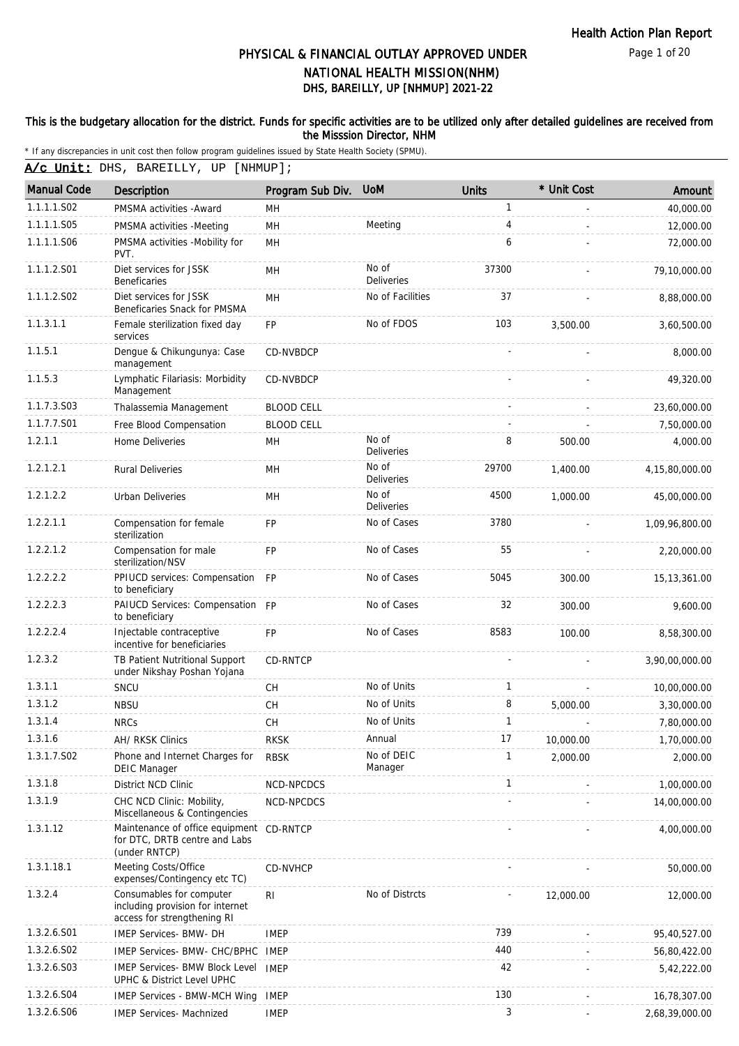Page 1 of 20

# DHS, BAREILLY, UP [NHMUP] 2021-22 PHYSICAL & FINANCIAL OUTLAY APPROVED UNDER NATIONAL HEALTH MISSION(NHM)

### This is the budgetary allocation for the district. Funds for specific activities are to be utilized only after detailed guidelines are received from the Misssion Director, NHM

| A/c Unit: DHS, BAREILLY, UP [NHMUP]; |
|--------------------------------------|

| <b>Manual Code</b> | <b>Description</b>                                                                          | Program Sub Div.  | <b>UoM</b>                 | <b>Units</b> | * Unit Cost | Amount         |
|--------------------|---------------------------------------------------------------------------------------------|-------------------|----------------------------|--------------|-------------|----------------|
| 1.1.1.1.S02        | PMSMA activities - Award                                                                    | MH                |                            | $\mathbf{1}$ |             | 40,000.00      |
| 1.1.1.1.S05        | PMSMA activities -Meeting                                                                   | MH                | Meeting                    | 4            |             | 12,000.00      |
| 1.1.1.1.S06        | PMSMA activities -Mobility for<br>PVT.                                                      | MH                |                            | 6            |             | 72,000.00      |
| 1.1.1.2.S01        | Diet services for JSSK<br><b>Beneficaries</b>                                               | MH                | No of<br><b>Deliveries</b> | 37300        |             | 79,10,000.00   |
| 1.1.1.2.S02        | Diet services for JSSK<br>Beneficaries Snack for PMSMA                                      | MH                | No of Facilities           | 37           |             | 8,88,000.00    |
| 1.1.3.1.1          | Female sterilization fixed day<br>services                                                  | FP                | No of FDOS                 | 103          | 3,500.00    | 3,60,500.00    |
| 1.1.5.1            | Dengue & Chikungunya: Case<br>management                                                    | CD-NVBDCP         |                            |              |             | 8,000.00       |
| 1.1.5.3            | Lymphatic Filariasis: Morbidity<br>Management                                               | CD-NVBDCP         |                            |              |             | 49,320.00      |
| 1.1.7.3.S03        | Thalassemia Management                                                                      | <b>BLOOD CELL</b> |                            |              |             | 23,60,000.00   |
| 1.1.7.7.S01        | Free Blood Compensation                                                                     | <b>BLOOD CELL</b> |                            |              |             | 7,50,000.00    |
| 1.2.1.1            | Home Deliveries                                                                             | MН                | No of<br><b>Deliveries</b> | 8            | 500.00      | 4,000.00       |
| 1.2.1.2.1          | <b>Rural Deliveries</b>                                                                     | <b>MH</b>         | No of<br><b>Deliveries</b> | 29700        | 1,400.00    | 4,15,80,000.00 |
| 1.2.1.2.2          | <b>Urban Deliveries</b>                                                                     | MH                | No of<br>Deliveries        | 4500         | 1,000.00    | 45,00,000.00   |
| 1.2.2.1.1          | Compensation for female<br>sterilization                                                    | <b>FP</b>         | No of Cases                | 3780         |             | 1,09,96,800.00 |
| 1.2.2.1.2          | Compensation for male<br>sterilization/NSV                                                  | <b>FP</b>         | No of Cases                | 55           |             | 2,20,000.00    |
| 1.2.2.2.2          | PPIUCD services: Compensation FP<br>to beneficiary                                          |                   | No of Cases                | 5045         | 300.00      | 15, 13, 361.00 |
| 1.2.2.2.3          | PAIUCD Services: Compensation FP<br>to beneficiary                                          |                   | No of Cases                | 32           | 300.00      | 9,600.00       |
| 1.2.2.2.4          | Injectable contraceptive<br>incentive for beneficiaries                                     | <b>FP</b>         | No of Cases                | 8583         | 100.00      | 8,58,300.00    |
| 1.2.3.2            | TB Patient Nutritional Support<br>under Nikshay Poshan Yojana                               | CD-RNTCP          |                            |              |             | 3,90,00,000.00 |
| 1.3.1.1            | SNCU                                                                                        | CH                | No of Units                | 1            |             | 10,00,000.00   |
| 1.3.1.2            | <b>NBSU</b>                                                                                 | CH                | No of Units                | 8            | 5,000.00    | 3,30,000.00    |
| 1.3.1.4            | <b>NRCs</b>                                                                                 | <b>CH</b>         | No of Units                | 1            |             | 7,80,000.00    |
| 1.3.1.6            | AH/ RKSK Clinics                                                                            | <b>RKSK</b>       | Annual                     | 17           | 10,000.00   | 1,70,000.00    |
| 1.3.1.7.S02        | Phone and Internet Charges for<br><b>DEIC Manager</b>                                       | <b>RBSK</b>       | No of DEIC<br>Manager      | 1            | 2,000.00    | 2,000.00       |
| 1.3.1.8            | District NCD Clinic                                                                         | NCD-NPCDCS        |                            | $\mathbf{1}$ |             | 1,00,000.00    |
| 1.3.1.9            | CHC NCD Clinic: Mobility,<br>Miscellaneous & Contingencies                                  | NCD-NPCDCS        |                            |              |             | 14,00,000.00   |
| 1.3.1.12           | Maintenance of office equipment CD-RNTCP<br>for DTC, DRTB centre and Labs<br>(under RNTCP)  |                   |                            |              |             | 4,00,000.00    |
| 1.3.1.18.1         | Meeting Costs/Office<br>expenses/Contingency etc TC)                                        | CD-NVHCP          |                            |              |             | 50,000.00      |
| 1.3.2.4            | Consumables for computer<br>including provision for internet<br>access for strengthening RI | RI                | No of Distrcts             |              | 12,000.00   | 12,000.00      |
| 1.3.2.6.S01        | IMEP Services- BMW- DH                                                                      | <b>IMEP</b>       |                            | 739          |             | 95,40,527.00   |
| 1.3.2.6.S02        | IMEP Services- BMW- CHC/BPHC                                                                | <b>IMEP</b>       |                            | 440          |             | 56,80,422.00   |
| 1.3.2.6.S03        | <b>IMEP Services- BMW Block Level</b><br>UPHC & District Level UPHC                         | <b>IMEP</b>       |                            | 42           |             | 5,42,222.00    |
| 1.3.2.6.S04        | <b>IMEP Services - BMW-MCH Wing</b>                                                         | <b>IMEP</b>       |                            | 130          |             | 16,78,307.00   |
| 1.3.2.6.S06        | <b>IMEP Services- Machnized</b>                                                             | <b>IMEP</b>       |                            | 3            |             | 2,68,39,000.00 |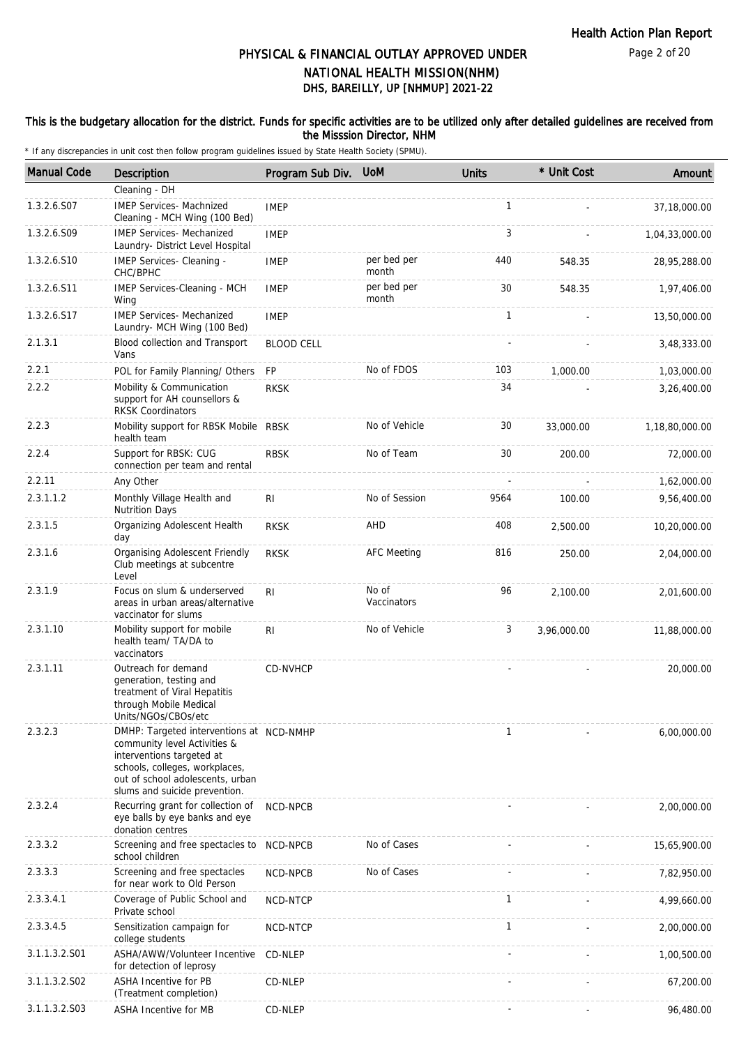#### This is the budgetary allocation for the district. Funds for specific activities are to be utilized only after detailed guidelines are received from the Misssion Director, NHM

| <b>Manual Code</b> | <b>Description</b>                                                                                                                                                                                           | Program Sub Div.  | <b>UoM</b>           | <b>Units</b> | * Unit Cost | Amount         |
|--------------------|--------------------------------------------------------------------------------------------------------------------------------------------------------------------------------------------------------------|-------------------|----------------------|--------------|-------------|----------------|
|                    | Cleaning - DH                                                                                                                                                                                                |                   |                      |              |             |                |
| 1.3.2.6.S07        | <b>IMEP Services- Machnized</b><br>Cleaning - MCH Wing (100 Bed)                                                                                                                                             | <b>IMEP</b>       |                      | $\mathbf{1}$ |             | 37,18,000.00   |
| 1.3.2.6.S09        | <b>IMEP Services- Mechanized</b><br>Laundry- District Level Hospital                                                                                                                                         | <b>IMEP</b>       |                      | 3            |             | 1,04,33,000.00 |
| 1.3.2.6.S10        | IMEP Services- Cleaning -<br>CHC/BPHC                                                                                                                                                                        | <b>IMEP</b>       | per bed per<br>month | 440          | 548.35      | 28,95,288.00   |
| 1.3.2.6.S11        | IMEP Services-Cleaning - MCH<br>Wing                                                                                                                                                                         | <b>IMEP</b>       | per bed per<br>month | 30           | 548.35      | 1,97,406.00    |
| 1.3.2.6.S17        | <b>IMEP Services- Mechanized</b><br>Laundry- MCH Wing (100 Bed)                                                                                                                                              | <b>IMEP</b>       |                      | 1            |             | 13,50,000.00   |
| 2.1.3.1            | Blood collection and Transport<br>Vans                                                                                                                                                                       | <b>BLOOD CELL</b> |                      |              |             | 3,48,333.00    |
| 2.2.1              | POL for Family Planning/ Others                                                                                                                                                                              | <b>FP</b>         | No of FDOS           | 103          | 1,000.00    | 1,03,000.00    |
| 2.2.2              | Mobility & Communication<br>support for AH counsellors &<br><b>RKSK Coordinators</b>                                                                                                                         | <b>RKSK</b>       |                      | 34           |             | 3,26,400.00    |
| 2.2.3              | Mobility support for RBSK Mobile RBSK<br>health team                                                                                                                                                         |                   | No of Vehicle        | 30           | 33,000.00   | 1,18,80,000.00 |
| 2.2.4              | Support for RBSK: CUG<br>connection per team and rental                                                                                                                                                      | <b>RBSK</b>       | No of Team           | 30           | 200.00      | 72,000.00      |
| 2.2.11             | Any Other                                                                                                                                                                                                    |                   |                      |              |             | 1,62,000.00    |
| 2.3.1.1.2          | Monthly Village Health and<br><b>Nutrition Days</b>                                                                                                                                                          | RI                | No of Session        | 9564         | 100.00      | 9,56,400.00    |
| 2.3.1.5            | Organizing Adolescent Health<br>day                                                                                                                                                                          | <b>RKSK</b>       | AHD                  | 408          | 2,500.00    | 10,20,000.00   |
| 2.3.1.6            | Organising Adolescent Friendly<br>Club meetings at subcentre<br>Level                                                                                                                                        | <b>RKSK</b>       | <b>AFC Meeting</b>   | 816          | 250.00      | 2,04,000.00    |
| 2.3.1.9            | Focus on slum & underserved<br>areas in urban areas/alternative<br>vaccinator for slums                                                                                                                      | R <sub>1</sub>    | No of<br>Vaccinators | 96           | 2,100.00    | 2,01,600.00    |
| 2.3.1.10           | Mobility support for mobile<br>health team/ TA/DA to<br>vaccinators                                                                                                                                          | R <sub>1</sub>    | No of Vehicle        | 3            | 3,96,000.00 | 11,88,000.00   |
| 2.3.1.11           | Outreach for demand<br>generation, testing and<br>treatment of Viral Hepatitis<br>through Mobile Medical<br>Units/NGOs/CBOs/etc                                                                              | CD-NVHCP          |                      |              |             | 20,000.00      |
| 2.3.2.3            | DMHP: Targeted interventions at NCD-NMHP<br>community level Activities &<br>interventions targeted at<br>schools, colleges, workplaces,<br>out of school adolescents, urban<br>slums and suicide prevention. |                   |                      | 1            |             | 6,00,000.00    |
| 2.3.2.4            | Recurring grant for collection of<br>eye balls by eye banks and eye<br>donation centres                                                                                                                      | NCD-NPCB          |                      |              |             | 2,00,000.00    |
| 2.3.3.2            | Screening and free spectacles to<br>school children                                                                                                                                                          | NCD-NPCB          | No of Cases          |              |             | 15,65,900.00   |
| 2.3.3.3            | Screening and free spectacles<br>for near work to Old Person                                                                                                                                                 | NCD-NPCB          | No of Cases          |              |             | 7,82,950.00    |
| 2.3.3.4.1          | Coverage of Public School and<br>Private school                                                                                                                                                              | NCD-NTCP          |                      | $\mathbf{1}$ |             | 4,99,660.00    |
| 2.3.3.4.5          | Sensitization campaign for<br>college students                                                                                                                                                               | NCD-NTCP          |                      | $\mathbf{1}$ |             | 2,00,000.00    |
| 3.1.1.3.2.S01      | ASHA/AWW/Volunteer Incentive<br>for detection of leprosy                                                                                                                                                     | CD-NLEP           |                      |              |             | 1,00,500.00    |
| 3.1.1.3.2.S02      | <b>ASHA Incentive for PB</b><br>(Treatment completion)                                                                                                                                                       | CD-NLEP           |                      |              |             | 67,200.00      |
| 3.1.1.3.2.S03      | ASHA Incentive for MB                                                                                                                                                                                        | CD-NLEP           |                      |              |             | 96,480.00      |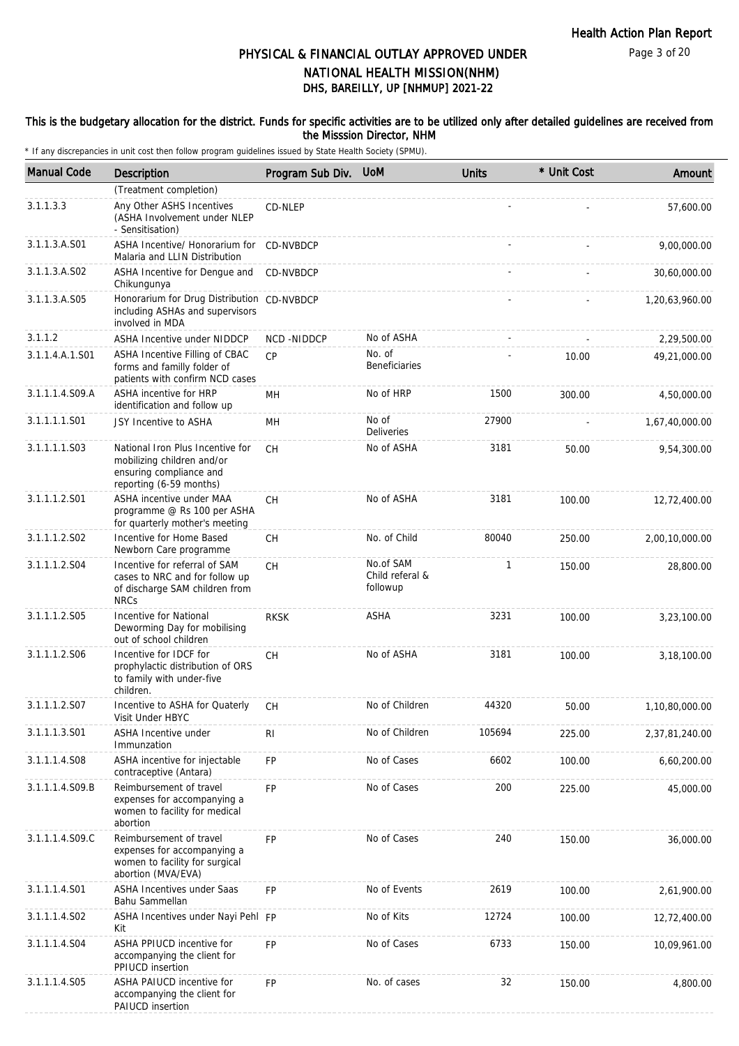Page 3 of 20

## DHS, BAREILLY, UP [NHMUP] 2021-22 PHYSICAL & FINANCIAL OUTLAY APPROVED UNDER NATIONAL HEALTH MISSION(NHM)

#### This is the budgetary allocation for the district. Funds for specific activities are to be utilized only after detailed guidelines are received from the Misssion Director, NHM

| <b>Manual Code</b> | Description                                                                                                          | Program Sub Div. | <b>UoM</b>                               | <b>Units</b> | * Unit Cost | Amount         |
|--------------------|----------------------------------------------------------------------------------------------------------------------|------------------|------------------------------------------|--------------|-------------|----------------|
|                    | (Treatment completion)                                                                                               |                  |                                          |              |             |                |
| 3.1.1.3.3          | Any Other ASHS Incentives<br>(ASHA Involvement under NLEP<br>- Sensitisation)                                        | CD-NLEP          |                                          |              |             | 57,600.00      |
| 3.1.1.3.A.S01      | ASHA Incentive/ Honorarium for<br>Malaria and LLIN Distribution                                                      | CD-NVBDCP        |                                          |              |             | 9,00,000.00    |
| 3.1.1.3.A.S02      | ASHA Incentive for Dengue and<br>Chikungunya                                                                         | CD-NVBDCP        |                                          |              |             | 30,60,000.00   |
| 3.1.1.3.A.S05      | Honorarium for Drug Distribution CD-NVBDCP<br>including ASHAs and supervisors<br>involved in MDA                     |                  |                                          |              |             | 1,20,63,960.00 |
| 3.1.1.2            | ASHA Incentive under NIDDCP                                                                                          | NCD-NIDDCP       | No of ASHA                               |              |             | 2,29,500.00    |
| 3.1.1.4.A.1.S01    | ASHA Incentive Filling of CBAC<br>forms and familly folder of<br>patients with confirm NCD cases                     | CP               | No. of<br><b>Beneficiaries</b>           |              | 10.00       | 49,21,000.00   |
| 3.1.1.1.4.S09.A    | ASHA incentive for HRP<br>identification and follow up                                                               | MH               | No of HRP                                | 1500         | 300.00      | 4,50,000.00    |
| 3.1.1.1.1.S01      | JSY Incentive to ASHA                                                                                                | MH               | No of<br><b>Deliveries</b>               | 27900        |             | 1,67,40,000.00 |
| 3.1.1.1.1.S03      | National Iron Plus Incentive for<br>mobilizing children and/or<br>ensuring compliance and<br>reporting (6-59 months) | <b>CH</b>        | No of ASHA                               | 3181         | 50.00       | 9,54,300.00    |
| 3.1.1.1.2.S01      | ASHA incentive under MAA<br>programme @ Rs 100 per ASHA<br>for quarterly mother's meeting                            | CH               | No of ASHA                               | 3181         | 100.00      | 12,72,400.00   |
| 3.1.1.1.2.S02      | Incentive for Home Based<br>Newborn Care programme                                                                   | <b>CH</b>        | No. of Child                             | 80040        | 250.00      | 2,00,10,000.00 |
| 3.1.1.1.2.S04      | Incentive for referral of SAM<br>cases to NRC and for follow up<br>of discharge SAM children from<br><b>NRCs</b>     | <b>CH</b>        | No.of SAM<br>Child referal &<br>followup | $\mathbf{1}$ | 150.00      | 28,800.00      |
| 3.1.1.1.2.S05      | Incentive for National<br>Deworming Day for mobilising<br>out of school children                                     | <b>RKSK</b>      | ASHA                                     | 3231         | 100.00      | 3,23,100.00    |
| 3.1.1.1.2.S06      | Incentive for IDCF for<br>prophylactic distribution of ORS<br>to family with under-five<br>children.                 | <b>CH</b>        | No of ASHA                               | 3181         | 100.00      | 3,18,100.00    |
| 3.1.1.1.2.S07      | Incentive to ASHA for Quaterly<br>Visit Under HBYC                                                                   | СH               | No of Children                           | 44320        | 50.00       | 1,10,80,000.00 |
| 3.1.1.1.3.S01      | ASHA Incentive under<br>Immunzation                                                                                  | RI               | No of Children                           | 105694       | 225.00      | 2,37,81,240.00 |
| 3.1.1.1.4.S08      | ASHA incentive for injectable<br>contraceptive (Antara)                                                              | FP               | No of Cases                              | 6602         | 100.00      | 6,60,200.00    |
| 3.1.1.1.4.S09.B    | Reimbursement of travel<br>expenses for accompanying a<br>women to facility for medical<br>abortion                  | <b>FP</b>        | No of Cases                              | 200          | 225.00      | 45,000.00      |
| 3.1.1.1.4.S09.C    | Reimbursement of travel<br>expenses for accompanying a<br>women to facility for surgical<br>abortion (MVA/EVA)       | <b>FP</b>        | No of Cases                              | 240          | 150.00      | 36,000.00      |
| 3.1.1.1.4.S01      | <b>ASHA Incentives under Saas</b><br>Bahu Sammellan                                                                  | <b>FP</b>        | No of Events                             | 2619         | 100.00      | 2,61,900.00    |
| 3.1.1.1.4.S02      | ASHA Incentives under Nayi Pehl FP<br>Kit                                                                            |                  | No of Kits                               | 12724        | 100.00      | 12,72,400.00   |
| 3.1.1.1.4.S04      | ASHA PPIUCD incentive for<br>accompanying the client for<br>PPIUCD insertion                                         | FP               | No of Cases                              | 6733         | 150.00      | 10,09,961.00   |
| 3.1.1.1.4.S05      | ASHA PAIUCD incentive for<br>accompanying the client for<br>PAIUCD insertion                                         | <b>FP</b>        | No. of cases                             | 32           | 150.00      | 4,800.00       |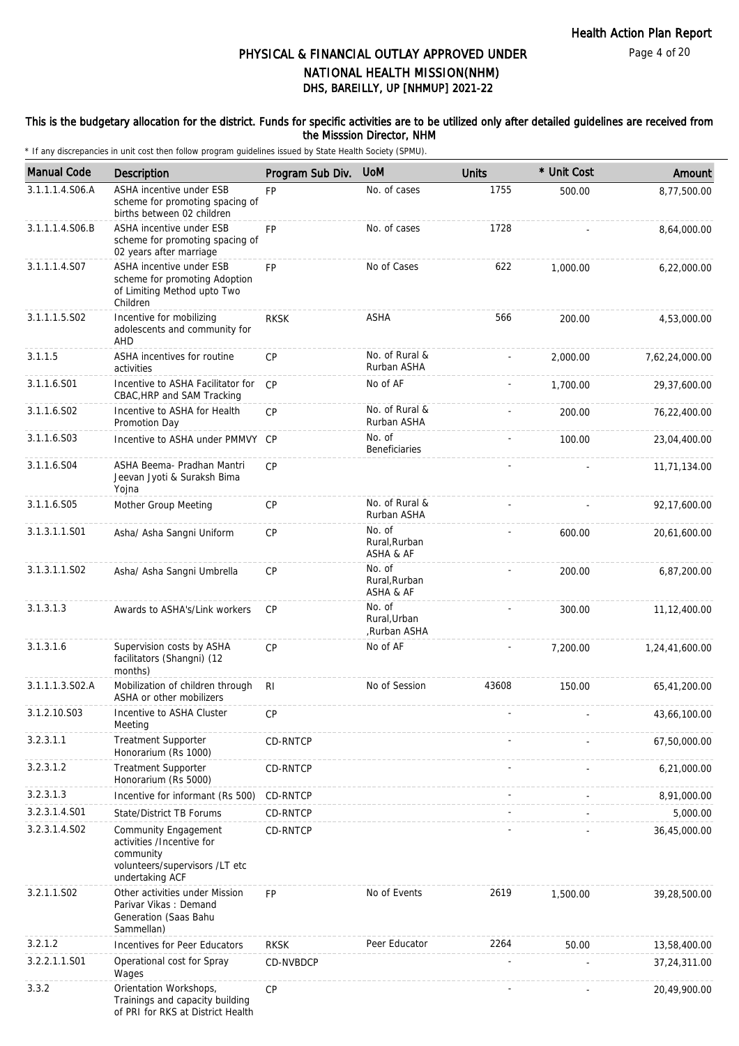#### This is the budgetary allocation for the district. Funds for specific activities are to be utilized only after detailed guidelines are received from the Misssion Director, NHM

| <b>Manual Code</b> | Description                                                                                                                | Program Sub Div. | <b>UOM</b>                             | <b>Units</b> | * Unit Cost | Amount         |
|--------------------|----------------------------------------------------------------------------------------------------------------------------|------------------|----------------------------------------|--------------|-------------|----------------|
| 3.1.1.1.4.S06.A    | ASHA incentive under ESB<br>scheme for promoting spacing of<br>births between 02 children                                  | <b>FP</b>        | No. of cases                           | 1755         | 500.00      | 8,77,500.00    |
| 3.1.1.1.4.S06.B    | ASHA incentive under ESB<br>scheme for promoting spacing of<br>02 years after marriage                                     | <b>FP</b>        | No. of cases                           | 1728         |             | 8,64,000.00    |
| 3.1.1.1.4.S07      | ASHA incentive under ESB<br>scheme for promoting Adoption<br>of Limiting Method upto Two<br>Children                       | <b>FP</b>        | No of Cases                            | 622          | 1,000.00    | 6,22,000.00    |
| 3.1.1.1.5.S02      | Incentive for mobilizing<br>adolescents and community for<br>AHD                                                           | <b>RKSK</b>      | ASHA                                   | 566          | 200.00      | 4,53,000.00    |
| 3.1.1.5            | ASHA incentives for routine<br>activities                                                                                  | <b>CP</b>        | No. of Rural &<br>Rurban ASHA          |              | 2,000.00    | 7,62,24,000.00 |
| 3.1.1.6.S01        | Incentive to ASHA Facilitator for<br>CBAC, HRP and SAM Tracking                                                            | CP               | No of AF                               |              | 1,700.00    | 29,37,600.00   |
| 3.1.1.6.S02        | Incentive to ASHA for Health<br>Promotion Day                                                                              | <b>CP</b>        | No. of Rural &<br>Rurban ASHA          |              | 200.00      | 76,22,400.00   |
| 3.1.1.6.S03        | Incentive to ASHA under PMMVY                                                                                              | CP               | No. of<br><b>Beneficiaries</b>         |              | 100.00      | 23,04,400.00   |
| 3.1.1.6.S04        | ASHA Beema- Pradhan Mantri<br>Jeevan Jyoti & Suraksh Bima<br>Yojna                                                         | <b>CP</b>        |                                        |              |             | 11,71,134.00   |
| 3.1.1.6.S05        | Mother Group Meeting                                                                                                       | <b>CP</b>        | No. of Rural &<br>Rurban ASHA          |              |             | 92,17,600.00   |
| 3.1.3.1.1.S01      | Asha/ Asha Sangni Uniform                                                                                                  | <b>CP</b>        | No. of<br>Rural, Rurban<br>ASHA & AF   |              | 600.00      | 20,61,600.00   |
| 3.1.3.1.1.S02      | Asha/ Asha Sangni Umbrella                                                                                                 | <b>CP</b>        | No. of<br>Rural, Rurban<br>ASHA & AF   |              | 200.00      | 6,87,200.00    |
| 3.1.3.1.3          | Awards to ASHA's/Link workers                                                                                              | <b>CP</b>        | No. of<br>Rural, Urban<br>,Rurban ASHA |              | 300.00      | 11, 12, 400.00 |
| 3.1.3.1.6          | Supervision costs by ASHA<br>facilitators (Shangni) (12<br>months)                                                         | <b>CP</b>        | No of AF                               |              | 7,200.00    | 1,24,41,600.00 |
| 3.1.1.1.3.S02.A    | Mobilization of children through<br>ASHA or other mobilizers                                                               | RI.              | No of Session                          | 43608        | 150.00      | 65,41,200.00   |
| 3.1.2.10.S03       | Incentive to ASHA Cluster<br>Meeting                                                                                       | <b>CP</b>        |                                        |              |             | 43,66,100.00   |
| 3.2.3.1.1          | <b>Treatment Supporter</b><br>Honorarium (Rs 1000)                                                                         | CD-RNTCP         |                                        |              |             | 67,50,000.00   |
| 3.2.3.1.2          | <b>Treatment Supporter</b><br>Honorarium (Rs 5000)                                                                         | CD-RNTCP         |                                        |              |             | 6,21,000.00    |
| 3.2.3.1.3          | Incentive for informant (Rs 500)                                                                                           | CD-RNTCP         |                                        |              |             | 8,91,000.00    |
| 3.2.3.1.4.S01      | <b>State/District TB Forums</b>                                                                                            | CD-RNTCP         |                                        |              |             | 5,000.00       |
| 3.2.3.1.4.S02      | <b>Community Engagement</b><br>activities /Incentive for<br>community<br>volunteers/supervisors /LT etc<br>undertaking ACF | CD-RNTCP         |                                        |              |             | 36,45,000.00   |
| 3.2.1.1.S02        | Other activities under Mission<br>Parivar Vikas: Demand<br>Generation (Saas Bahu<br>Sammellan)                             | FP               | No of Events                           | 2619         | 1,500.00    | 39,28,500.00   |
| 3.2.1.2            | Incentives for Peer Educators                                                                                              | <b>RKSK</b>      | Peer Educator                          | 2264         | 50.00       | 13,58,400.00   |
| 3.2.2.1.1.S01      | Operational cost for Spray<br>Wages                                                                                        | CD-NVBDCP        |                                        |              |             | 37,24,311.00   |
| 3.3.2              | Orientation Workshops,<br>Trainings and capacity building<br>of PRI for RKS at District Health                             | CP               |                                        |              |             | 20,49,900.00   |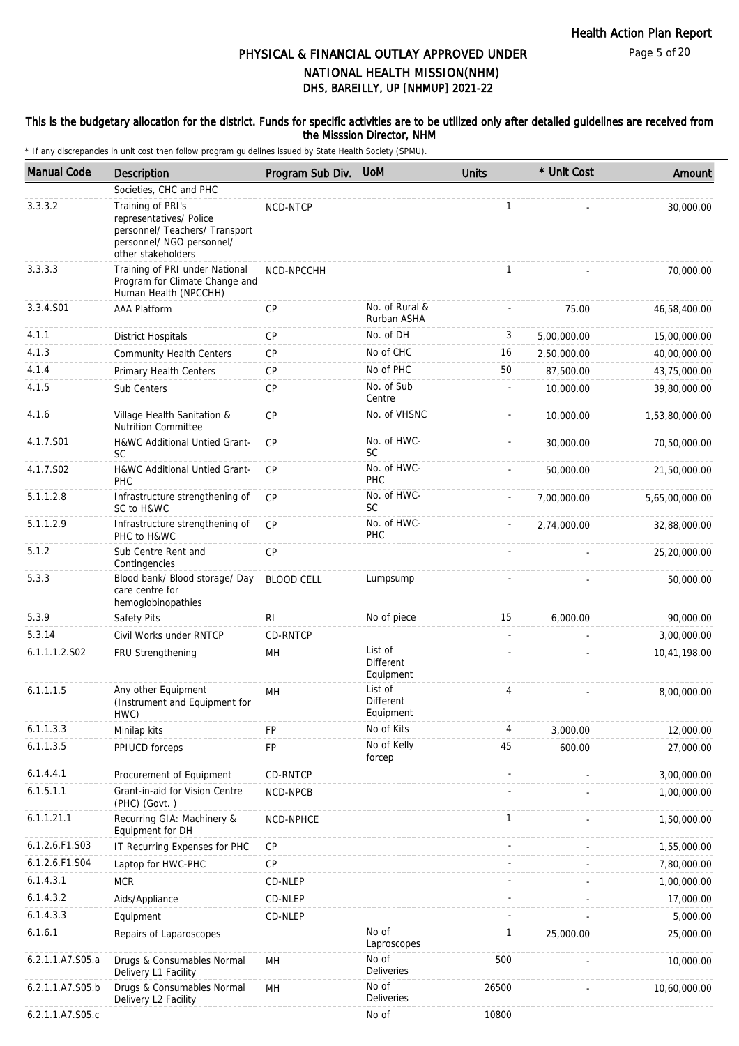#### This is the budgetary allocation for the district. Funds for specific activities are to be utilized only after detailed guidelines are received from the Misssion Director, NHM

| <b>Manual Code</b> | Description                                                                                                                       | Program Sub Div.  | <b>UoM</b>                        | <b>Units</b> | * Unit Cost | Amount         |
|--------------------|-----------------------------------------------------------------------------------------------------------------------------------|-------------------|-----------------------------------|--------------|-------------|----------------|
|                    | Societies, CHC and PHC                                                                                                            |                   |                                   |              |             |                |
| 3.3.3.2            | Training of PRI's<br>representatives/ Police<br>personnel/ Teachers/ Transport<br>personnel/ NGO personnel/<br>other stakeholders | NCD-NTCP          |                                   | $\mathbf{1}$ |             | 30,000.00      |
| 3.3.3.3            | Training of PRI under National<br>Program for Climate Change and<br>Human Health (NPCCHH)                                         | NCD-NPCCHH        |                                   | $\mathbf{1}$ |             | 70,000.00      |
| 3.3.4.S01          | <b>AAA Platform</b>                                                                                                               | CP                | No. of Rural &<br>Rurban ASHA     |              | 75.00       | 46,58,400.00   |
| 4.1.1              | <b>District Hospitals</b>                                                                                                         | <b>CP</b>         | No. of DH                         | 3            | 5,00,000.00 | 15,00,000.00   |
| 4.1.3              | <b>Community Health Centers</b>                                                                                                   | <b>CP</b>         | No of CHC                         | 16           | 2,50,000.00 | 40,00,000.00   |
| 4.1.4              | Primary Health Centers                                                                                                            | <b>CP</b>         | No of PHC                         | 50           | 87,500.00   | 43,75,000.00   |
| 4.1.5              | Sub Centers                                                                                                                       | <b>CP</b>         | No. of Sub<br>Centre              |              | 10,000.00   | 39,80,000.00   |
| 4.1.6              | Village Health Sanitation &<br><b>Nutrition Committee</b>                                                                         | <b>CP</b>         | No. of VHSNC                      |              | 10,000.00   | 1,53,80,000.00 |
| 4.1.7.S01          | H&WC Additional Untied Grant-<br><b>SC</b>                                                                                        | <b>CP</b>         | No. of HWC-<br><b>SC</b>          |              | 30,000.00   | 70,50,000.00   |
| 4.1.7.S02          | H&WC Additional Untied Grant-<br>PHC                                                                                              | CP                | No. of HWC-<br>PHC                |              | 50,000.00   | 21,50,000.00   |
| 5.1.1.2.8          | Infrastructure strengthening of<br>SC to H&WC                                                                                     | CP                | No. of HWC-<br><b>SC</b>          |              | 7,00,000.00 | 5,65,00,000.00 |
| 5.1.1.2.9          | Infrastructure strengthening of<br>PHC to H&WC                                                                                    | <b>CP</b>         | No. of HWC-<br><b>PHC</b>         |              | 2,74,000.00 | 32,88,000.00   |
| 5.1.2              | Sub Centre Rent and<br>Contingencies                                                                                              | <b>CP</b>         |                                   |              |             | 25,20,000.00   |
| 5.3.3              | Blood bank/ Blood storage/ Day<br>care centre for<br>hemoglobinopathies                                                           | <b>BLOOD CELL</b> | Lumpsump                          |              |             | 50,000.00      |
| 5.3.9              | Safety Pits                                                                                                                       | RI                | No of piece                       | 15           | 6,000.00    | 90,000.00      |
| 5.3.14             | Civil Works under RNTCP                                                                                                           | CD-RNTCP          |                                   |              |             | 3,00,000.00    |
| 6.1.1.1.2.S02      | FRU Strengthening                                                                                                                 | MH                | List of<br>Different<br>Equipment |              |             | 10,41,198.00   |
| 6.1.1.1.5          | Any other Equipment<br>(Instrument and Equipment for<br>HWC)                                                                      | MН                | List of<br>Different<br>Equipment | 4            |             | 8,00,000.00    |
| 6.1.1.3.3          | Minilap kits                                                                                                                      | <b>FP</b>         | No of Kits                        | 4            | 3,000.00    | 12,000.00      |
| 6.1.1.3.5          | PPIUCD forceps                                                                                                                    | FP                | No of Kelly<br>forcep             | 45           | 600.00      | 27,000.00      |
| 6.1.4.4.1          | Procurement of Equipment                                                                                                          | CD-RNTCP          |                                   |              |             | 3,00,000.00    |
| 6.1.5.1.1          | Grant-in-aid for Vision Centre<br>(PHC) (Govt.)                                                                                   | NCD-NPCB          |                                   |              |             | 1,00,000.00    |
| 6.1.1.21.1         | Recurring GIA: Machinery &<br>Equipment for DH                                                                                    | NCD-NPHCE         |                                   | 1            |             | 1,50,000.00    |
| 6.1.2.6.F1.S03     | IT Recurring Expenses for PHC                                                                                                     | CP                |                                   |              |             | 1,55,000.00    |
| 6.1.2.6.F1.S04     | Laptop for HWC-PHC                                                                                                                | <b>CP</b>         |                                   |              |             | 7,80,000.00    |
| 6.1.4.3.1          | <b>MCR</b>                                                                                                                        | CD-NLEP           |                                   |              |             | 1,00,000.00    |
| 6.1.4.3.2          | Aids/Appliance                                                                                                                    | CD-NLEP           |                                   |              |             | 17,000.00      |
| 6.1.4.3.3          | Equipment                                                                                                                         | CD-NLEP           |                                   |              |             | 5,000.00       |
| 6.1.6.1            | Repairs of Laparoscopes                                                                                                           |                   | No of<br>Laproscopes              | 1            | 25,000.00   | 25,000.00      |
| 6.2.1.1.A7.S05.a   | Drugs & Consumables Normal<br>Delivery L1 Facility                                                                                | MH                | No of<br><b>Deliveries</b>        | 500          |             | 10,000.00      |
| 6.2.1.1.A7.S05.b   | Drugs & Consumables Normal<br>Delivery L2 Facility                                                                                | MH                | No of<br><b>Deliveries</b>        | 26500        |             | 10,60,000.00   |
| 6.2.1.1.A7.S05.c   |                                                                                                                                   |                   | No of                             | 10800        |             |                |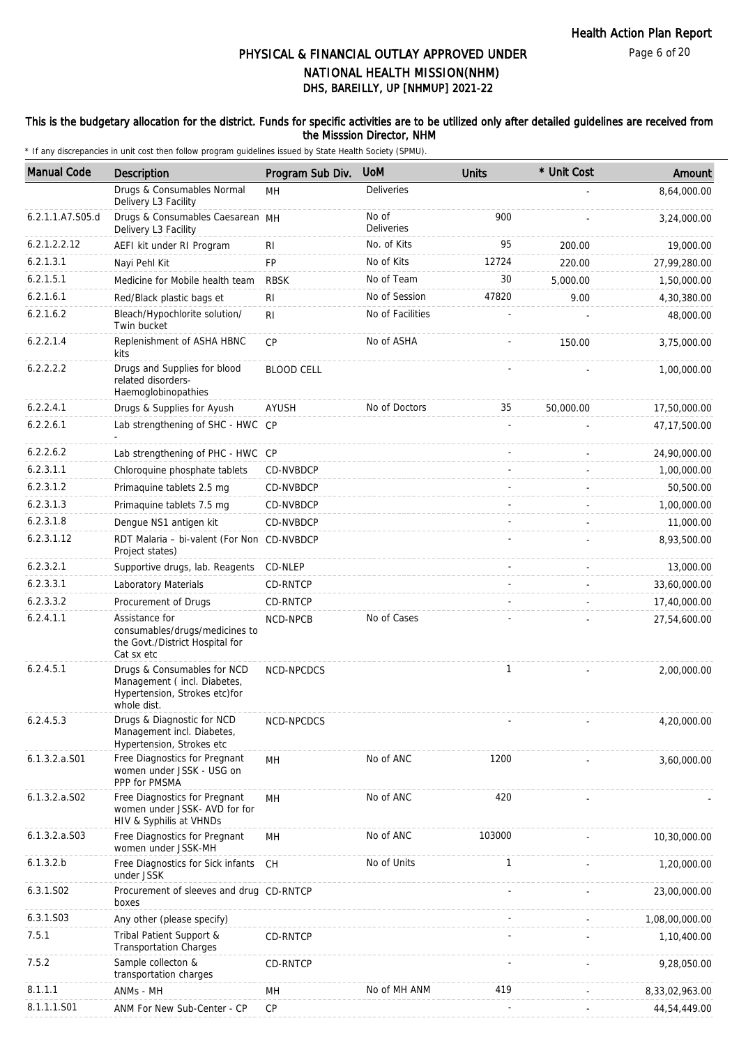### This is the budgetary allocation for the district. Funds for specific activities are to be utilized only after detailed guidelines are received from the Misssion Director, NHM

| <b>Manual Code</b> | Description                                                                                                | Program Sub Div.  | <b>UoM</b>        | <b>Units</b> | * Unit Cost | Amount         |
|--------------------|------------------------------------------------------------------------------------------------------------|-------------------|-------------------|--------------|-------------|----------------|
|                    | Drugs & Consumables Normal                                                                                 | MH                | Deliveries        |              |             | 8.64.000.00    |
| 6.2.1.1.A7.S05.d   | Delivery L3 Facility<br>Drugs & Consumables Caesarean MH                                                   |                   | No of             | 900          |             | 3,24,000.00    |
|                    | Delivery L3 Facility                                                                                       |                   | <b>Deliveries</b> |              |             |                |
| 6.2.1.2.2.12       | AEFI kit under RI Program                                                                                  | <b>RI</b>         | No. of Kits       | 95           | 200.00      | 19,000.00      |
| 6.2.1.3.1          | Nayi Pehl Kit                                                                                              | FP                | No of Kits        | 12724        | 220.00      | 27,99,280.00   |
| 6.2.1.5.1          | Medicine for Mobile health team                                                                            | <b>RBSK</b>       | No of Team        | 30           | 5,000.00    | 1,50,000.00    |
| 6.2.1.6.1          | Red/Black plastic bags et                                                                                  | <b>RI</b>         | No of Session     | 47820        | 9.00        | 4,30,380.00    |
| 6.2.1.6.2          | Bleach/Hypochlorite solution/<br>Twin bucket                                                               | RI                | No of Facilities  |              |             | 48,000.00      |
| 6.2.2.1.4          | Replenishment of ASHA HBNC<br>kits                                                                         | <b>CP</b>         | No of ASHA        |              | 150.00      | 3,75,000.00    |
| 6.2.2.2.2          | Drugs and Supplies for blood<br>related disorders-<br>Haemoglobinopathies                                  | <b>BLOOD CELL</b> |                   |              |             | 1,00,000.00    |
| 6.2.2.4.1          | Drugs & Supplies for Ayush                                                                                 | AYUSH             | No of Doctors     | 35           | 50,000.00   | 17,50,000.00   |
| 6.2.2.6.1          | Lab strengthening of SHC - HWC                                                                             | CP                |                   |              |             | 47, 17, 500.00 |
| 6.2.2.6.2          | Lab strengthening of PHC - HWC CP                                                                          |                   |                   |              |             | 24,90,000.00   |
| 6.2.3.1.1          | Chloroquine phosphate tablets                                                                              | CD-NVBDCP         |                   |              |             | 1,00,000.00    |
| 6.2.3.1.2          | Primaquine tablets 2.5 mg                                                                                  | CD-NVBDCP         |                   |              |             | 50,500.00      |
| 6.2.3.1.3          | Primaquine tablets 7.5 mg                                                                                  | CD-NVBDCP         |                   |              |             | 1,00,000.00    |
| 6.2.3.1.8          | Dengue NS1 antigen kit                                                                                     | CD-NVBDCP         |                   |              |             | 11,000.00      |
| 6.2.3.1.12         | RDT Malaria - bi-valent (For Non CD-NVBDCP<br>Project states)                                              |                   |                   |              |             | 8,93,500.00    |
| 6.2.3.2.1          | Supportive drugs, lab. Reagents                                                                            | CD-NLEP           |                   |              |             | 13,000.00      |
| 6.2.3.3.1          | Laboratory Materials                                                                                       | CD-RNTCP          |                   |              |             | 33,60,000.00   |
| 6.2.3.3.2          | Procurement of Drugs                                                                                       | CD-RNTCP          |                   |              |             | 17,40,000.00   |
| 6.2.4.1.1          | Assistance for<br>consumables/drugs/medicines to<br>the Govt./District Hospital for<br>Cat sx etc          | NCD-NPCB          | No of Cases       |              |             | 27,54,600.00   |
| 6.2.4.5.1          | Drugs & Consumables for NCD<br>Management (incl. Diabetes,<br>Hypertension, Strokes etc)for<br>whole dist. | NCD-NPCDCS        |                   | $\mathbf{1}$ |             | 2,00,000.00    |
| 6.2.4.5.3          | Drugs & Diagnostic for NCD<br>Management incl. Diabetes,<br>Hypertension, Strokes etc                      | NCD-NPCDCS        |                   |              |             | 4,20,000.00    |
| $6.1.3.2.a.$ SO1   | Free Diagnostics for Pregnant<br>women under JSSK - USG on<br>PPP for PMSMA                                | MН                | No of ANC         | 1200         |             | 3,60,000.00    |
| 6.1.3.2.a.S02      | Free Diagnostics for Pregnant<br>women under JSSK- AVD for for<br>HIV & Syphilis at VHNDs                  | MH                | No of ANC         | 420          |             |                |
| $6.1.3.2.a.$ SO3   | Free Diagnostics for Pregnant<br>women under JSSK-MH                                                       | MH                | No of ANC         | 103000       |             | 10,30,000.00   |
| 6.1.3.2.b          | Free Diagnostics for Sick infants<br>under JSSK                                                            | <b>CH</b>         | No of Units       | 1            |             | 1,20,000.00    |
| 6.3.1.S02          | Procurement of sleeves and drug CD-RNTCP<br>boxes                                                          |                   |                   |              |             | 23,00,000.00   |
| 6.3.1.S03          | Any other (please specify)                                                                                 |                   |                   |              |             | 1,08,00,000.00 |
| 7.5.1              | Tribal Patient Support &<br><b>Transportation Charges</b>                                                  | CD-RNTCP          |                   |              |             | 1,10,400.00    |
| 7.5.2              | Sample collecton &<br>transportation charges                                                               | CD-RNTCP          |                   |              |             | 9,28,050.00    |
| 8.1.1.1            | ANMs - MH                                                                                                  | MН                | No of MH ANM      | 419          |             | 8,33,02,963.00 |
| 8.1.1.1.S01        | ANM For New Sub-Center - CP                                                                                | <b>CP</b>         |                   |              |             | 44,54,449.00   |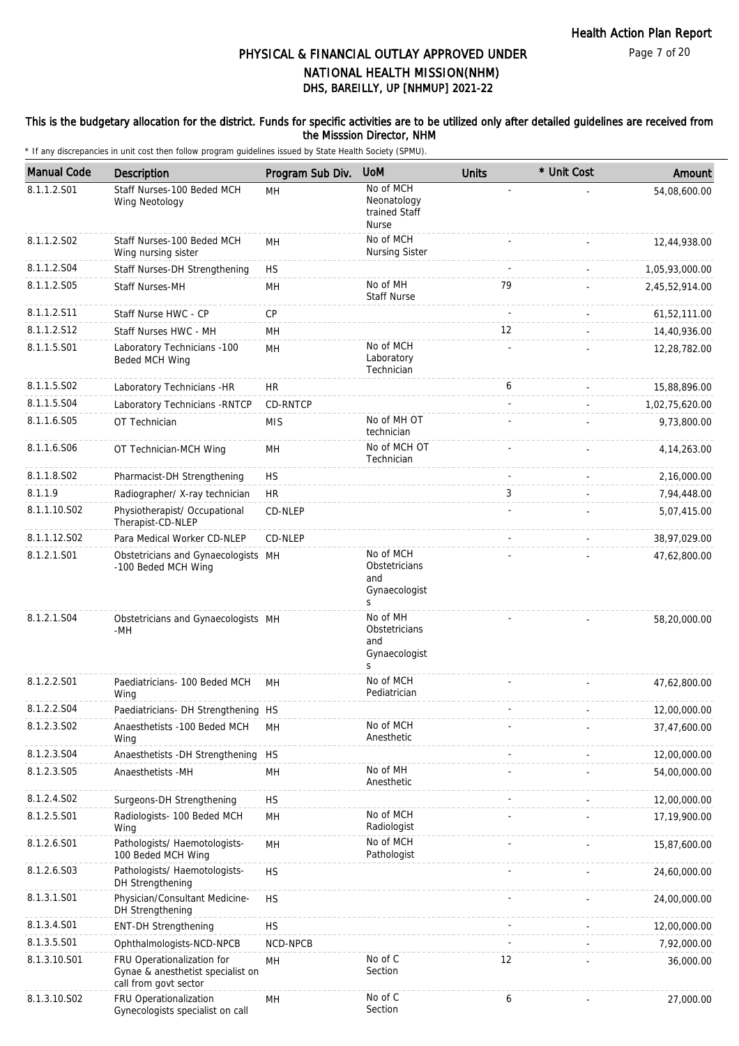### This is the budgetary allocation for the district. Funds for specific activities are to be utilized only after detailed guidelines are received from the Misssion Director, NHM

| <b>Manual Code</b> | Description                                                                              | Program Sub Div. | <b>UoM</b>                                                | <b>Units</b> | * Unit Cost | Amount         |
|--------------------|------------------------------------------------------------------------------------------|------------------|-----------------------------------------------------------|--------------|-------------|----------------|
| 8.1.1.2.S01        | Staff Nurses-100 Beded MCH<br>Wing Neotology                                             | MH               | No of MCH<br>Neonatology<br>trained Staff<br><b>Nurse</b> |              |             | 54,08,600.00   |
| 8.1.1.2.S02        | Staff Nurses-100 Beded MCH<br>Wing nursing sister                                        | <b>MH</b>        | No of MCH<br><b>Nursing Sister</b>                        |              |             | 12,44,938.00   |
| 8.1.1.2.S04        | Staff Nurses-DH Strengthening                                                            | <b>HS</b>        |                                                           |              |             | 1,05,93,000.00 |
| 8.1.1.2.S05        | <b>Staff Nurses-MH</b>                                                                   | MH               | No of MH<br><b>Staff Nurse</b>                            | 79           |             | 2,45,52,914.00 |
| 8.1.1.2.S11        | Staff Nurse HWC - CP                                                                     | CP               |                                                           |              |             | 61,52,111.00   |
| 8.1.1.2.S12        | Staff Nurses HWC - MH                                                                    | MH               |                                                           | 12           |             | 14,40,936.00   |
| 8.1.1.5.S01        | Laboratory Technicians -100<br>Beded MCH Wing                                            | MH               | No of MCH<br>Laboratory<br>Technician                     |              |             | 12,28,782.00   |
| 8.1.1.5.S02        | Laboratory Technicians -HR                                                               | <b>HR</b>        |                                                           | 6            |             | 15,88,896.00   |
| 8.1.1.5.S04        | Laboratory Technicians - RNTCP                                                           | <b>CD-RNTCP</b>  |                                                           |              |             | 1,02,75,620.00 |
| 8.1.1.6.S05        | OT Technician                                                                            | <b>MIS</b>       | No of MH OT<br>technician                                 |              |             | 9,73,800.00    |
| 8.1.1.6.S06        | OT Technician-MCH Wing                                                                   | <b>MH</b>        | No of MCH OT<br>Technician                                |              |             | 4, 14, 263.00  |
| 8.1.1.8.S02        | Pharmacist-DH Strengthening                                                              | <b>HS</b>        |                                                           | ÷,           |             | 2,16,000.00    |
| 8.1.1.9            | Radiographer/ X-ray technician                                                           | <b>HR</b>        |                                                           | 3            |             | 7,94,448.00    |
| 8.1.1.10.S02       | Physiotherapist/ Occupational<br>Therapist-CD-NLEP                                       | CD-NLEP          |                                                           |              |             | 5,07,415.00    |
| 8.1.1.12.S02       | Para Medical Worker CD-NLEP                                                              | CD-NLEP          |                                                           |              |             | 38,97,029.00   |
| 8.1.2.1.S01        | Obstetricians and Gynaecologists MH<br>-100 Beded MCH Wing                               |                  | No of MCH<br>Obstetricians<br>and<br>Gynaecologist<br>S   |              |             | 47,62,800.00   |
| 8.1.2.1.S04        | Obstetricians and Gynaecologists MH<br>-MH                                               |                  | No of MH<br>Obstetricians<br>and<br>Gynaecologist<br>S    |              |             | 58,20,000.00   |
| 8.1.2.2.S01        | Paediatricians- 100 Beded MCH<br>Wing                                                    | MH               | No of MCH<br>Pediatrician                                 |              |             | 47,62,800.00   |
| 8.1.2.2.S04        | Paediatricians- DH Strengthening HS                                                      |                  |                                                           |              |             | 12,00,000.00   |
| 8.1.2.3.SO2        | Anaesthetists -100 Beded MCH<br>Wing                                                     | MН               | No of MCH<br>Anesthetic                                   |              |             | 37,47,600.00   |
| 8.1.2.3.S04        | Anaesthetists - DH Strengthening                                                         | <b>HS</b>        |                                                           |              |             | 12,00,000.00   |
| 8.1.2.3.S05        | Anaesthetists -MH                                                                        | MH               | No of MH<br>Anesthetic                                    |              |             | 54,00,000.00   |
| 8.1.2.4.SO2        | Surgeons-DH Strengthening                                                                | <b>HS</b>        |                                                           |              |             | 12,00,000.00   |
| 8.1.2.5.S01        | Radiologists- 100 Beded MCH<br>Wing                                                      | MH               | No of MCH<br>Radiologist                                  |              |             | 17,19,900.00   |
| 8.1.2.6.S01        | Pathologists/ Haemotologists-<br>100 Beded MCH Wing                                      | MH               | No of MCH<br>Pathologist                                  |              |             | 15,87,600.00   |
| 8.1.2.6.S03        | Pathologists/ Haemotologists-<br>DH Strengthening                                        | <b>HS</b>        |                                                           |              |             | 24,60,000.00   |
| 8.1.3.1.S01        | Physician/Consultant Medicine-<br>DH Strengthening                                       | <b>HS</b>        |                                                           |              |             | 24,00,000.00   |
| 8.1.3.4.S01        | <b>ENT-DH Strengthening</b>                                                              | <b>HS</b>        |                                                           |              |             | 12,00,000.00   |
| 8.1.3.5.S01        | Ophthalmologists-NCD-NPCB                                                                | NCD-NPCB         |                                                           |              |             | 7,92,000.00    |
| 8.1.3.10.S01       | FRU Operationalization for<br>Gynae & anesthetist specialist on<br>call from govt sector | MН               | No of C<br>Section                                        | 12           |             | 36,000.00      |
| 8.1.3.10.S02       | FRU Operationalization<br>Gynecologists specialist on call                               | MH               | No of C<br>Section                                        | 6            |             | 27,000.00      |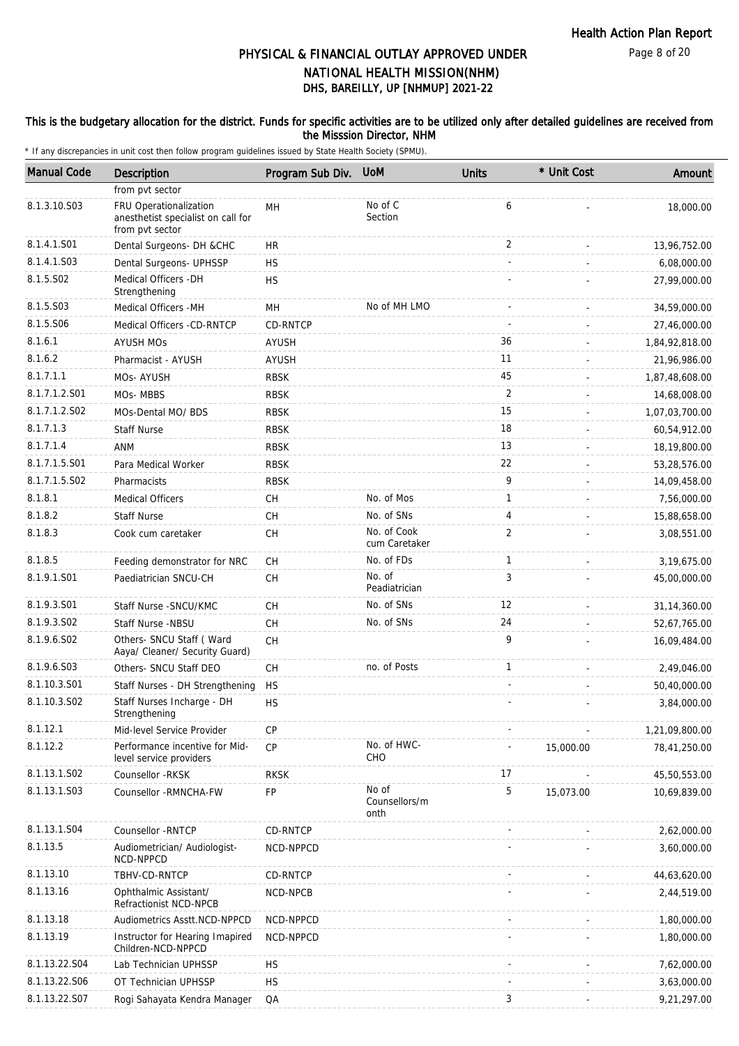#### This is the budgetary allocation for the district. Funds for specific activities are to be utilized only after detailed guidelines are received from the Misssion Director, NHM

| <b>Manual Code</b> | Description                                                                     | Program Sub Div. | <b>UoM</b>                     | <b>Units</b>   | * Unit Cost | Amount         |
|--------------------|---------------------------------------------------------------------------------|------------------|--------------------------------|----------------|-------------|----------------|
|                    | from pvt sector                                                                 |                  |                                |                |             |                |
| 8.1.3.10.S03       | FRU Operationalization<br>anesthetist specialist on call for<br>from pvt sector | MH               | No of C<br>Section             | 6              |             | 18,000.00      |
| 8.1.4.1.S01        | Dental Surgeons- DH &CHC                                                        | HR               |                                | 2              |             | 13,96,752.00   |
| 8.1.4.1.S03        | Dental Surgeons- UPHSSP                                                         | <b>HS</b>        |                                |                |             | 6,08,000.00    |
| 8.1.5.S02          | Medical Officers - DH<br>Strengthening                                          | <b>HS</b>        |                                |                |             | 27,99,000.00   |
| 8.1.5.S03          | Medical Officers - MH                                                           | <b>MH</b>        | No of MH LMO                   |                |             | 34,59,000.00   |
| 8.1.5.S06          | Medical Officers -CD-RNTCP                                                      | <b>CD-RNTCP</b>  |                                |                |             | 27,46,000.00   |
| 8.1.6.1            | <b>AYUSH MOS</b>                                                                | AYUSH            |                                | 36             |             | 1,84,92,818.00 |
| 8.1.6.2            | Pharmacist - AYUSH                                                              | <b>AYUSH</b>     |                                | 11             |             | 21,96,986.00   |
| 8.1.7.1.1          | MOs- AYUSH                                                                      | <b>RBSK</b>      |                                | 45             |             | 1,87,48,608.00 |
| 8.1.7.1.2.S01      | MOs-MBBS                                                                        | <b>RBSK</b>      |                                | 2              |             | 14,68,008.00   |
| 8.1.7.1.2.S02      | MOs-Dental MO/ BDS                                                              | <b>RBSK</b>      |                                | 15             |             | 1,07,03,700.00 |
| 8.1.7.1.3          | <b>Staff Nurse</b>                                                              | <b>RBSK</b>      |                                | 18             |             | 60,54,912.00   |
| 8.1.7.1.4          | ANM                                                                             | <b>RBSK</b>      |                                | 13             |             | 18,19,800.00   |
| 8.1.7.1.5.S01      | Para Medical Worker                                                             | <b>RBSK</b>      |                                | 22             |             | 53,28,576.00   |
| 8.1.7.1.5.S02      | Pharmacists                                                                     | <b>RBSK</b>      |                                | 9              |             | 14,09,458.00   |
| 8.1.8.1            | <b>Medical Officers</b>                                                         | СH               | No. of Mos                     | $\mathbf{1}$   |             | 7,56,000.00    |
| 8.1.8.2            | <b>Staff Nurse</b>                                                              | CH               | No. of SNs                     | 4              |             | 15,88,658.00   |
| 8.1.8.3            | Cook cum caretaker                                                              | CH               | No. of Cook<br>cum Caretaker   | $\overline{2}$ |             | 3,08,551.00    |
| 8.1.8.5            | Feeding demonstrator for NRC                                                    | <b>CH</b>        | No. of FDs                     | $\mathbf{1}$   |             | 3,19,675.00    |
| 8.1.9.1.S01        | Paediatrician SNCU-CH                                                           | CH               | No. of<br>Peadiatrician        | 3              |             | 45,00,000.00   |
| 8.1.9.3.S01        | Staff Nurse - SNCU/KMC                                                          | <b>CH</b>        | No. of SNs                     | 12             |             | 31, 14, 360.00 |
| 8.1.9.3.SO2        | Staff Nurse -NBSU                                                               | CH               | No. of SNs                     | 24             |             | 52,67,765.00   |
| 8.1.9.6.S02        | Others- SNCU Staff (Ward<br>Aaya/ Cleaner/ Security Guard)                      | CH               |                                | 9              |             | 16,09,484.00   |
| 8.1.9.6.S03        | Others- SNCU Staff DEO                                                          | CH               | no. of Posts                   | $\mathbf{1}$   |             | 2,49,046.00    |
| 8.1.10.3.S01       | Staff Nurses - DH Strengthening                                                 | <b>HS</b>        |                                |                |             | 50,40,000.00   |
| 8.1.10.3.S02       | Staff Nurses Incharge - DH<br>Strengthening                                     | <b>HS</b>        |                                |                |             | 3,84,000.00    |
| 8.1.12.1           | Mid-level Service Provider                                                      | <b>CP</b>        |                                |                |             | 1,21,09,800.00 |
| 8.1.12.2           | Performance incentive for Mid-<br>level service providers                       | CP               | No. of HWC-<br>CHO             |                | 15,000.00   | 78,41,250.00   |
| 8.1.13.1.S02       | Counsellor - RKSK                                                               | <b>RKSK</b>      |                                | 17             |             | 45,50,553.00   |
| 8.1.13.1.S03       | Counsellor -RMNCHA-FW                                                           | FP               | No of<br>Counsellors/m<br>onth | 5              | 15,073.00   | 10,69,839.00   |
| 8.1.13.1.S04       | Counsellor - RNTCP                                                              | CD-RNTCP         |                                |                |             | 2,62,000.00    |
| 8.1.13.5           | Audiometrician/ Audiologist-<br>NCD-NPPCD                                       | NCD-NPPCD        |                                |                |             | 3,60,000.00    |
| 8.1.13.10          | TBHV-CD-RNTCP                                                                   | CD-RNTCP         |                                |                |             | 44,63,620.00   |
| 8.1.13.16          | Ophthalmic Assistant/<br>Refractionist NCD-NPCB                                 | NCD-NPCB         |                                |                |             | 2,44,519.00    |
| 8.1.13.18          | Audiometrics Asstt.NCD-NPPCD                                                    | NCD-NPPCD        |                                |                |             | 1,80,000.00    |
| 8.1.13.19          | Instructor for Hearing Imapired<br>Children-NCD-NPPCD                           | NCD-NPPCD        |                                |                |             | 1,80,000.00    |
| 8.1.13.22.S04      | Lab Technician UPHSSP                                                           | <b>HS</b>        |                                |                |             | 7,62,000.00    |
| 8.1.13.22.S06      | OT Technician UPHSSP                                                            | <b>HS</b>        |                                |                |             | 3,63,000.00    |
| 8.1.13.22.S07      | Rogi Sahayata Kendra Manager                                                    | QA               |                                | 3              |             | 9,21,297.00    |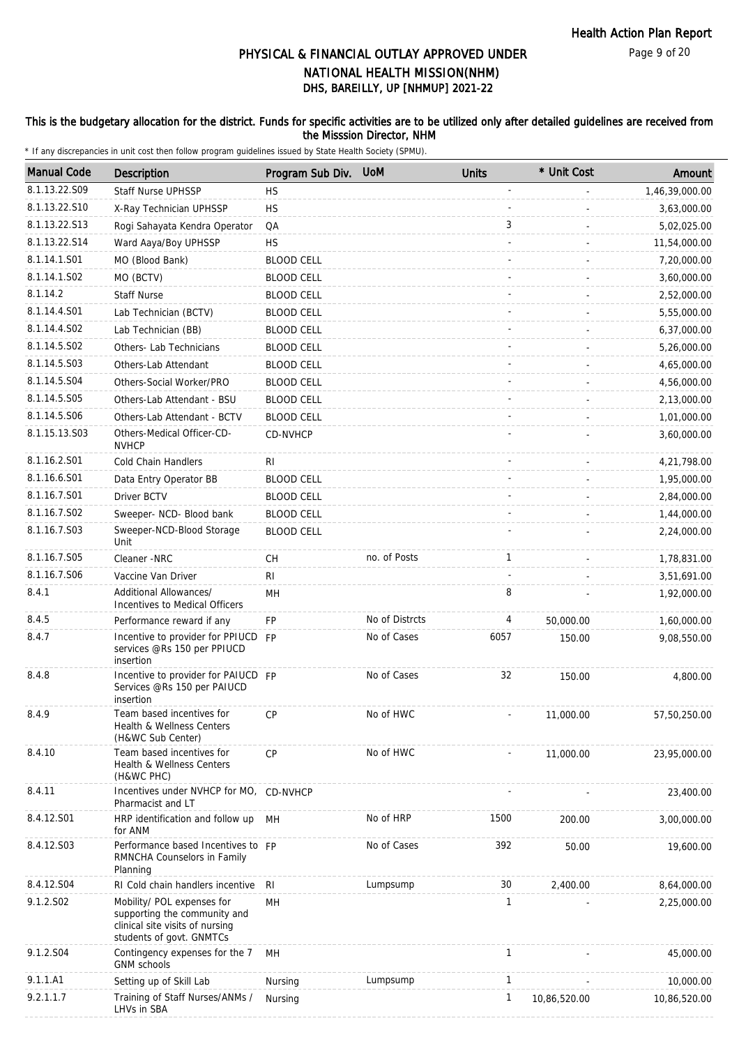Page 9 of 20

# DHS, BAREILLY, UP [NHMUP] 2021-22 PHYSICAL & FINANCIAL OUTLAY APPROVED UNDER NATIONAL HEALTH MISSION(NHM)

### This is the budgetary allocation for the district. Funds for specific activities are to be utilized only after detailed guidelines are received from the Misssion Director, NHM

| <b>Manual Code</b> | Description                                                                                                               | Program Sub Div.  | <b>UoM</b>     | <b>Units</b> | * Unit Cost  | Amount         |
|--------------------|---------------------------------------------------------------------------------------------------------------------------|-------------------|----------------|--------------|--------------|----------------|
| 8.1.13.22.S09      | <b>Staff Nurse UPHSSP</b>                                                                                                 | <b>HS</b>         |                |              |              | 1,46,39,000.00 |
| 8.1.13.22.S10      | X-Ray Technician UPHSSP                                                                                                   | <b>HS</b>         |                |              |              | 3,63,000.00    |
| 8.1.13.22.S13      | Rogi Sahayata Kendra Operator                                                                                             | QA                |                | 3            |              | 5,02,025.00    |
| 8.1.13.22.S14      | Ward Aaya/Boy UPHSSP                                                                                                      | <b>HS</b>         |                |              |              | 11,54,000.00   |
| 8.1.14.1.S01       | MO (Blood Bank)                                                                                                           | <b>BLOOD CELL</b> |                |              |              | 7,20,000.00    |
| 8.1.14.1.S02       | MO (BCTV)                                                                                                                 | <b>BLOOD CELL</b> |                |              |              | 3,60,000.00    |
| 8.1.14.2           | <b>Staff Nurse</b>                                                                                                        | <b>BLOOD CELL</b> |                |              |              | 2,52,000.00    |
| 8.1.14.4.S01       | Lab Technician (BCTV)                                                                                                     | <b>BLOOD CELL</b> |                |              |              | 5,55,000.00    |
| 8.1.14.4.S02       | Lab Technician (BB)                                                                                                       | <b>BLOOD CELL</b> |                |              |              | 6,37,000.00    |
| 8.1.14.5.S02       | Others- Lab Technicians                                                                                                   | <b>BLOOD CELL</b> |                |              |              | 5,26,000.00    |
| 8.1.14.5.S03       | Others-Lab Attendant                                                                                                      | <b>BLOOD CELL</b> |                |              |              | 4,65,000.00    |
| 8.1.14.5.S04       | Others-Social Worker/PRO                                                                                                  | <b>BLOOD CELL</b> |                |              |              | 4,56,000.00    |
| 8.1.14.5.S05       | Others-Lab Attendant - BSU                                                                                                | <b>BLOOD CELL</b> |                |              |              | 2,13,000.00    |
| 8.1.14.5.S06       | Others-Lab Attendant - BCTV                                                                                               | <b>BLOOD CELL</b> |                |              |              | 1,01,000.00    |
| 8.1.15.13.S03      | Others-Medical Officer-CD-                                                                                                | CD-NVHCP          |                |              |              | 3,60,000.00    |
|                    | <b>NVHCP</b>                                                                                                              |                   |                |              |              |                |
| 8.1.16.2.S01       | Cold Chain Handlers                                                                                                       | RI.               |                |              |              | 4,21,798.00    |
| 8.1.16.6.S01       | Data Entry Operator BB                                                                                                    | <b>BLOOD CELL</b> |                |              |              | 1,95,000.00    |
| 8.1.16.7.S01       | <b>Driver BCTV</b>                                                                                                        | <b>BLOOD CELL</b> |                |              |              | 2,84,000.00    |
| 8.1.16.7.S02       | Sweeper- NCD- Blood bank                                                                                                  | <b>BLOOD CELL</b> |                |              |              | 1,44,000.00    |
| 8.1.16.7.S03       | Sweeper-NCD-Blood Storage<br>Unit                                                                                         | <b>BLOOD CELL</b> |                |              |              | 2,24,000.00    |
| 8.1.16.7.S05       | Cleaner -NRC                                                                                                              | <b>CH</b>         | no. of Posts   | 1            |              | 1,78,831.00    |
| 8.1.16.7.S06       | Vaccine Van Driver                                                                                                        | RI                |                |              |              | 3,51,691.00    |
| 8.4.1              | Additional Allowances/<br>Incentives to Medical Officers                                                                  | MH                |                | 8            |              | 1,92,000.00    |
| 8.4.5              | Performance reward if any                                                                                                 | <b>FP</b>         | No of Distrcts | 4            | 50,000.00    | 1,60,000.00    |
| 8.4.7              | Incentive to provider for PPIUCD FP<br>services @Rs 150 per PPIUCD<br>insertion                                           |                   | No of Cases    | 6057         | 150.00       | 9,08,550.00    |
| 8.4.8              | Incentive to provider for PAIUCD FP<br>Services @Rs 150 per PAIUCD<br>insertion                                           |                   | No of Cases    | 32           | 150.00       | 4,800.00       |
| 8.4.9              | Team based incentives for<br>Health & Wellness Centers<br>(H&WC Sub Center)                                               | <b>CP</b>         | No of HWC      |              | 11,000.00    | 57,50,250.00   |
| 8.4.10             | Team based incentives for<br>Health & Wellness Centers<br>(H&WC PHC)                                                      | CP                | No of HWC      |              | 11,000.00    | 23,95,000.00   |
| 8.4.11             | Incentives under NVHCP for MO, CD-NVHCP<br>Pharmacist and LT                                                              |                   |                |              |              | 23,400.00      |
| 8.4.12.S01         | HRP identification and follow up MH<br>for ANM                                                                            |                   | No of HRP      | 1500         | 200.00       | 3,00,000.00    |
| 8.4.12.S03         | Performance based Incentives to FP<br>RMNCHA Counselors in Family<br>Planning                                             |                   | No of Cases    | 392          | 50.00        | 19,600.00      |
| 8.4.12.S04         | RI Cold chain handlers incentive                                                                                          | RI                | Lumpsump       | 30           | 2,400.00     | 8,64,000.00    |
| 9.1.2.S02          | Mobility/ POL expenses for<br>supporting the community and<br>clinical site visits of nursing<br>students of govt. GNMTCs | MН                |                | $\mathbf{1}$ |              | 2,25,000.00    |
| 9.1.2.S04          | Contingency expenses for the 7<br><b>GNM</b> schools                                                                      | MН                |                | $\mathbf{1}$ |              | 45,000.00      |
| 9.1.1.A1           | Setting up of Skill Lab                                                                                                   | Nursing           | Lumpsump       | $\mathbf{1}$ |              | 10,000.00      |
| 9.2.1.1.7          | Training of Staff Nurses/ANMs /<br>LHVs in SBA                                                                            | Nursing           |                | $\mathbf{1}$ | 10,86,520.00 | 10,86,520.00   |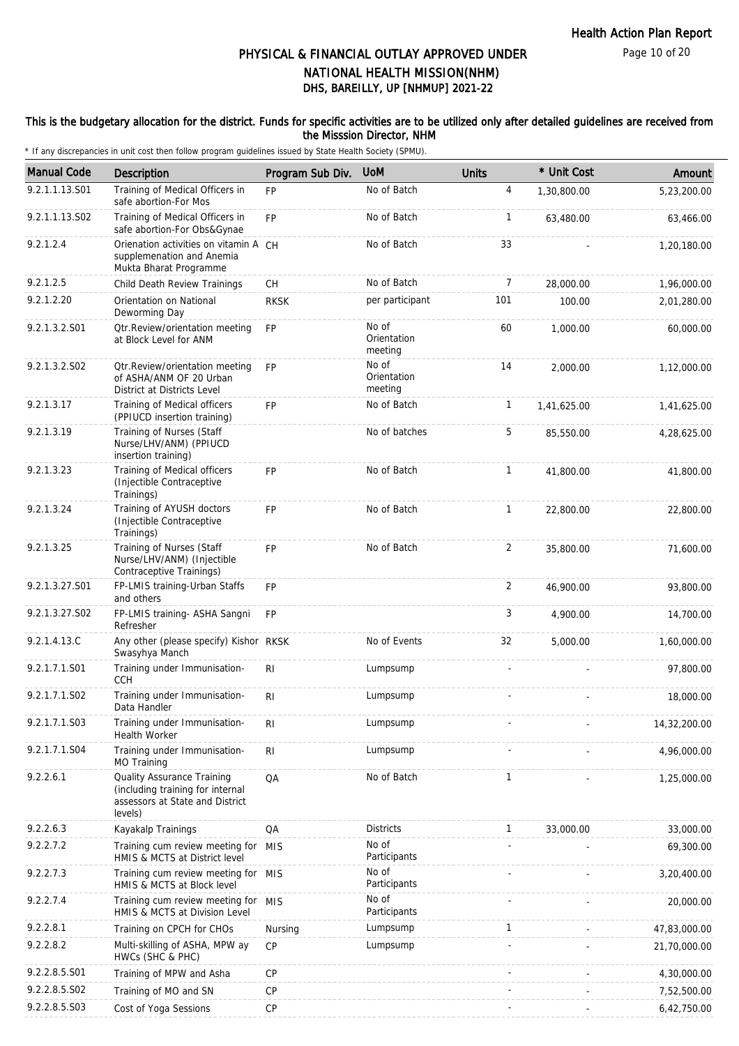#### This is the budgetary allocation for the district. Funds for specific activities are to be utilized only after detailed guidelines are received from the Misssion Director, NHM

| <b>Manual Code</b> | Description                                                                                                         | Program Sub Div. | <b>UoM</b>                      | <b>Units</b> | * Unit Cost | Amount       |
|--------------------|---------------------------------------------------------------------------------------------------------------------|------------------|---------------------------------|--------------|-------------|--------------|
| 9.2.1.1.13.S01     | Training of Medical Officers in<br>safe abortion-For Mos                                                            | <b>FP</b>        | No of Batch                     | 4            | 1,30,800.00 | 5,23,200.00  |
| 9.2.1.1.13.S02     | Training of Medical Officers in<br>safe abortion-For Obs&Gynae                                                      | <b>FP</b>        | No of Batch                     | 1            | 63,480.00   | 63,466.00    |
| 9.2.1.2.4          | Orienation activities on vitamin A CH<br>supplemenation and Anemia<br>Mukta Bharat Programme                        |                  | No of Batch                     | 33           |             | 1,20,180.00  |
| 9.2.1.2.5          | Child Death Review Trainings                                                                                        | CH               | No of Batch                     | 7            | 28,000.00   | 1,96,000.00  |
| 9.2.1.2.20         | Orientation on National<br>Deworming Day                                                                            | <b>RKSK</b>      | per participant                 | 101          | 100.00      | 2,01,280.00  |
| 9.2.1.3.2.S01      | Otr.Review/orientation meeting<br>at Block Level for ANM                                                            | <b>FP</b>        | No of<br>Orientation<br>meeting | 60           | 1.000.00    | 60,000.00    |
| 9.2.1.3.2.S02      | Otr.Review/orientation meeting<br>of ASHA/ANM OF 20 Urban<br>District at Districts Level                            | <b>FP</b>        | No of<br>Orientation<br>meeting | 14           | 2,000.00    | 1,12,000.00  |
| 9.2.1.3.17         | Training of Medical officers<br>(PPIUCD insertion training)                                                         | FP               | No of Batch                     | 1            | 1,41,625.00 | 1,41,625.00  |
| 9.2.1.3.19         | Training of Nurses (Staff<br>Nurse/LHV/ANM) (PPIUCD<br>insertion training)                                          |                  | No of batches                   | 5            | 85,550.00   | 4,28,625.00  |
| 9.2.1.3.23         | Training of Medical officers<br>(Injectible Contraceptive<br>Trainings)                                             | <b>FP</b>        | No of Batch                     | $\mathbf{1}$ | 41,800.00   | 41,800.00    |
| 9.2.1.3.24         | Training of AYUSH doctors<br>(Injectible Contraceptive<br>Trainings)                                                | <b>FP</b>        | No of Batch                     | 1            | 22,800.00   | 22,800.00    |
| 9.2.1.3.25         | Training of Nurses (Staff<br>Nurse/LHV/ANM) (Injectible<br>Contraceptive Trainings)                                 | <b>FP</b>        | No of Batch                     | 2            | 35,800.00   | 71,600.00    |
| 9.2.1.3.27.S01     | FP-LMIS training-Urban Staffs<br>and others                                                                         | <b>FP</b>        |                                 | 2            | 46,900.00   | 93,800.00    |
| 9.2.1.3.27.S02     | FP-LMIS training- ASHA Sangni<br>Refresher                                                                          | <b>FP</b>        |                                 | 3            | 4,900.00    | 14,700.00    |
| 9.2.1.4.13.C       | Any other (please specify) Kishor RKSK<br>Swasyhya Manch                                                            |                  | No of Events                    | 32           | 5,000.00    | 1,60,000.00  |
| 9.2.1.7.1.S01      | Training under Immunisation-<br><b>CCH</b>                                                                          | R <sub>1</sub>   | Lumpsump                        |              |             | 97,800.00    |
| 9.2.1.7.1.S02      | Training under Immunisation-<br>Data Handler                                                                        | R <sub>l</sub>   | Lumpsump                        |              |             | 18,000.00    |
| 9.2.1.7.1.S03      | Training under Immunisation-<br>Health Worker                                                                       | R <sub>l</sub>   | Lumpsump                        |              |             | 14,32,200.00 |
| 9.2.1.7.1.S04      | Training under Immunisation-<br>MO Training                                                                         | R <sub>1</sub>   | Lumpsump                        |              |             | 4,96,000.00  |
| 9.2.2.6.1          | <b>Quality Assurance Training</b><br>(including training for internal<br>assessors at State and District<br>levels) | QA               | No of Batch                     | 1            |             | 1,25,000.00  |
| 9.2.2.6.3          | Kayakalp Trainings                                                                                                  | QA               | <b>Districts</b>                | $\mathbf{1}$ | 33,000.00   | 33,000.00    |
| 9.2.2.7.2          | Training cum review meeting for MIS<br>HMIS & MCTS at District level                                                |                  | No of<br>Participants           |              |             | 69,300.00    |
| 9.2.2.7.3          | Training cum review meeting for MIS<br>HMIS & MCTS at Block level                                                   |                  | No of<br>Participants           |              |             | 3,20,400.00  |
| 9.2.2.7.4          | Training cum review meeting for MIS<br>HMIS & MCTS at Division Level                                                |                  | No of<br>Participants           |              |             | 20,000.00    |
| 9.2.2.8.1          | Training on CPCH for CHOs                                                                                           | Nursing          | Lumpsump                        | $\mathbf{1}$ |             | 47,83,000.00 |
| 9.2.2.8.2          | Multi-skilling of ASHA, MPW ay<br>HWCs (SHC & PHC)                                                                  | <b>CP</b>        | Lumpsump                        |              |             | 21,70,000.00 |
| 9.2.2.8.5.S01      | Training of MPW and Asha                                                                                            | CP               |                                 |              |             | 4,30,000.00  |
| 9.2.2.8.5.S02      | Training of MO and SN                                                                                               | CP               |                                 |              |             | 7,52,500.00  |
| 9.2.2.8.5.S03      | Cost of Yoga Sessions                                                                                               | CP               |                                 |              |             | 6,42,750.00  |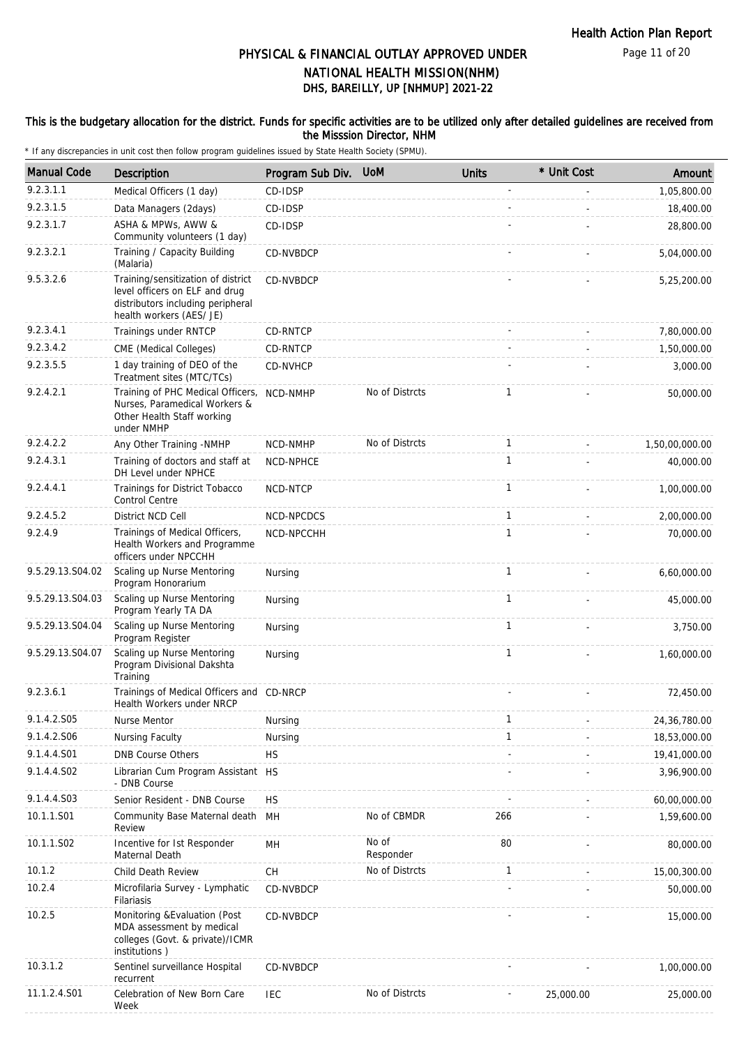#### This is the budgetary allocation for the district. Funds for specific activities are to be utilized only after detailed guidelines are received from the Misssion Director, NHM

| <b>Manual Code</b> | <b>Description</b>                                                                                                                    | Program Sub Div. | <b>UoM</b>         | <b>Units</b> | * Unit Cost | Amount         |
|--------------------|---------------------------------------------------------------------------------------------------------------------------------------|------------------|--------------------|--------------|-------------|----------------|
| 9.2.3.1.1          | Medical Officers (1 day)                                                                                                              | CD-IDSP          |                    |              |             | 1,05,800.00    |
| 9.2.3.1.5          | Data Managers (2days)                                                                                                                 | CD-IDSP          |                    |              |             | 18,400.00      |
| 9.2.3.1.7          | ASHA & MPWs, AWW &<br>Community volunteers (1 day)                                                                                    | CD-IDSP          |                    |              |             | 28,800.00      |
| 9.2.3.2.1          | Training / Capacity Building<br>(Malaria)                                                                                             | CD-NVBDCP        |                    |              |             | 5,04,000.00    |
| 9.5.3.2.6          | Training/sensitization of district<br>level officers on ELF and drug<br>distributors including peripheral<br>health workers (AES/ JE) | CD-NVBDCP        |                    |              |             | 5,25,200.00    |
| 9.2.3.4.1          | Trainings under RNTCP                                                                                                                 | CD-RNTCP         |                    |              |             | 7,80,000.00    |
| 9.2.3.4.2          | CME (Medical Colleges)                                                                                                                | CD-RNTCP         |                    |              |             | 1,50,000.00    |
| 9.2.3.5.5          | 1 day training of DEO of the<br>Treatment sites (MTC/TCs)                                                                             | CD-NVHCP         |                    |              |             | 3,000.00       |
| 9.2.4.2.1          | Training of PHC Medical Officers,<br>Nurses, Paramedical Workers &<br>Other Health Staff working<br>under NMHP                        | NCD-NMHP         | No of Distrcts     | 1            |             | 50,000.00      |
| 9.2.4.2.2          | Any Other Training -NMHP                                                                                                              | NCD-NMHP         | No of Distrcts     | $\mathbf{1}$ |             | 1,50,00,000.00 |
| 9.2.4.3.1          | Training of doctors and staff at<br>DH Level under NPHCE                                                                              | NCD-NPHCE        |                    | 1            |             | 40,000.00      |
| 9.2.4.4.1          | Trainings for District Tobacco<br>Control Centre                                                                                      | NCD-NTCP         |                    | $\mathbf{1}$ |             | 1,00,000.00    |
| 9.2.4.5.2          | District NCD Cell                                                                                                                     | NCD-NPCDCS       |                    | $\mathbf{1}$ |             | 2,00,000.00    |
| 9.2.4.9            | Trainings of Medical Officers,<br>Health Workers and Programme<br>officers under NPCCHH                                               | NCD-NPCCHH       |                    | $\mathbf{1}$ |             | 70,000.00      |
| 9.5.29.13.S04.02   | Scaling up Nurse Mentoring<br>Program Honorarium                                                                                      | Nursing          |                    | $\mathbf{1}$ |             | 6,60,000.00    |
| 9.5.29.13.S04.03   | Scaling up Nurse Mentoring<br>Program Yearly TA DA                                                                                    | Nursing          |                    | $\mathbf{1}$ |             | 45,000.00      |
| 9.5.29.13.S04.04   | Scaling up Nurse Mentoring<br>Program Register                                                                                        | Nursing          |                    | $\mathbf{1}$ |             | 3,750.00       |
| 9.5.29.13.S04.07   | Scaling up Nurse Mentoring<br>Program Divisional Dakshta<br>Training                                                                  | Nursing          |                    | $\mathbf{1}$ |             | 1,60,000.00    |
| 9.2.3.6.1          | Trainings of Medical Officers and CD-NRCP<br>Health Workers under NRCP                                                                |                  |                    |              |             | 72,450.00      |
| 9.1.4.2.S05        | Nurse Mentor                                                                                                                          | Nursing          |                    | $\mathbf{1}$ |             | 24, 36, 780.00 |
| 9.1.4.2.S06        | Nursing Faculty                                                                                                                       | Nursing          |                    | 1            |             | 18,53,000.00   |
| 9.1.4.4.S01        | <b>DNB Course Others</b>                                                                                                              | <b>HS</b>        |                    |              |             | 19,41,000.00   |
| 9.1.4.4.S02        | Librarian Cum Program Assistant HS<br>- DNB Course                                                                                    |                  |                    |              |             | 3,96,900.00    |
| 9.1.4.4.S03        | Senior Resident - DNB Course                                                                                                          | <b>HS</b>        |                    |              |             | 60,00,000.00   |
| 10.1.1.S01         | Community Base Maternal death<br>Review                                                                                               | MH               | No of CBMDR        | 266          |             | 1,59,600.00    |
| 10.1.1.S02         | Incentive for Ist Responder<br>Maternal Death                                                                                         | MН               | No of<br>Responder | 80           |             | 80,000.00      |
| 10.1.2             | Child Death Review                                                                                                                    | СH               | No of Distrcts     | $\mathbf{1}$ |             | 15,00,300.00   |
| 10.2.4             | Microfilaria Survey - Lymphatic<br>Filariasis                                                                                         | CD-NVBDCP        |                    |              |             | 50,000.00      |
| 10.2.5             | Monitoring & Evaluation (Post<br>MDA assessment by medical<br>colleges (Govt. & private)/ICMR<br>institutions)                        | CD-NVBDCP        |                    |              |             | 15,000.00      |
| 10.3.1.2           | Sentinel surveillance Hospital<br>recurrent                                                                                           | CD-NVBDCP        |                    |              |             | 1,00,000.00    |
| 11.1.2.4.S01       | Celebration of New Born Care<br>Week                                                                                                  | IEC              | No of Distrcts     |              | 25,000.00   | 25,000.00      |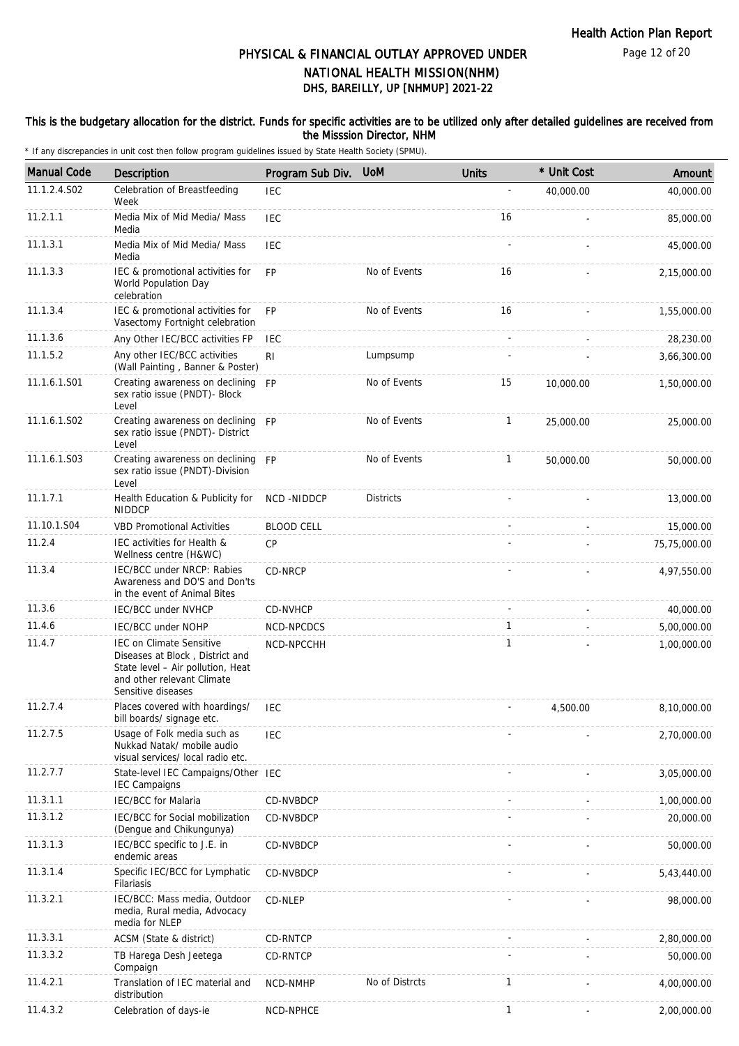Page 12 of 20

# DHS, BAREILLY, UP [NHMUP] 2021-22 PHYSICAL & FINANCIAL OUTLAY APPROVED UNDER NATIONAL HEALTH MISSION(NHM)

#### This is the budgetary allocation for the district. Funds for specific activities are to be utilized only after detailed guidelines are received from the Misssion Director, NHM

| <b>Manual Code</b> | <b>Description</b>                                                                                                                                          | Program Sub Div.  | <b>UoM</b>       | <b>Units</b> | * Unit Cost | Amount       |
|--------------------|-------------------------------------------------------------------------------------------------------------------------------------------------------------|-------------------|------------------|--------------|-------------|--------------|
| 11.1.2.4.S02       | Celebration of Breastfeeding<br>Week                                                                                                                        | <b>IEC</b>        |                  |              | 40,000.00   | 40,000.00    |
| 11.2.1.1           | Media Mix of Mid Media/ Mass<br>Media                                                                                                                       | <b>IEC</b>        |                  | 16           |             | 85,000.00    |
| 11.1.3.1           | Media Mix of Mid Media/ Mass<br>Media                                                                                                                       | <b>IEC</b>        |                  |              |             | 45,000.00    |
| 11.1.3.3           | IEC & promotional activities for<br>World Population Day<br>celebration                                                                                     | <b>FP</b>         | No of Events     | 16           |             | 2,15,000.00  |
| 11.1.3.4           | IEC & promotional activities for<br>Vasectomy Fortnight celebration                                                                                         | <b>FP</b>         | No of Events     | 16           |             | 1,55,000.00  |
| 11.1.3.6           | Any Other IEC/BCC activities FP                                                                                                                             | <b>IEC</b>        |                  |              |             | 28,230.00    |
| 11.1.5.2           | Any other IEC/BCC activities<br>(Wall Painting, Banner & Poster)                                                                                            | RI                | Lumpsump         |              |             | 3,66,300.00  |
| 11.1.6.1.S01       | Creating awareness on declining FP<br>sex ratio issue (PNDT)- Block<br>Level                                                                                |                   | No of Events     | 15           | 10,000.00   | 1,50,000.00  |
| 11.1.6.1.S02       | Creating awareness on declining<br>sex ratio issue (PNDT)- District<br>Level                                                                                | <b>FP</b>         | No of Events     | $\mathbf{1}$ | 25,000.00   | 25,000.00    |
| 11.1.6.1.S03       | Creating awareness on declining FP<br>sex ratio issue (PNDT)-Division<br>Level                                                                              |                   | No of Events     | $\mathbf{1}$ | 50,000.00   | 50,000.00    |
| 11.1.7.1           | Health Education & Publicity for<br><b>NIDDCP</b>                                                                                                           | NCD-NIDDCP        | <b>Districts</b> |              |             | 13,000.00    |
| 11.10.1.S04        | <b>VBD Promotional Activities</b>                                                                                                                           | <b>BLOOD CELL</b> |                  |              |             | 15,000.00    |
| 11.2.4             | IEC activities for Health &<br>Wellness centre (H&WC)                                                                                                       | <b>CP</b>         |                  |              |             | 75,75,000.00 |
| 11.3.4             | IEC/BCC under NRCP: Rabies<br>Awareness and DO'S and Don'ts<br>in the event of Animal Bites                                                                 | CD-NRCP           |                  |              |             | 4,97,550.00  |
| 11.3.6             | IEC/BCC under NVHCP                                                                                                                                         | CD-NVHCP          |                  |              |             | 40,000.00    |
| 11.4.6             | <b>IEC/BCC under NOHP</b>                                                                                                                                   | NCD-NPCDCS        |                  | 1            |             | 5,00,000.00  |
| 11.4.7             | <b>IEC on Climate Sensitive</b><br>Diseases at Block, District and<br>State level - Air pollution, Heat<br>and other relevant Climate<br>Sensitive diseases | NCD-NPCCHH        |                  | $\mathbf{1}$ |             | 1,00,000.00  |
| 11.2.7.4           | Places covered with hoardings/<br>bill boards/ signage etc.                                                                                                 | <b>IEC</b>        |                  |              | 4,500.00    | 8,10,000.00  |
| 11.2.7.5           | Usage of Folk media such as<br>Nukkad Natak/ mobile audio<br>visual services/ local radio etc.                                                              | <b>IEC</b>        |                  |              |             | 2,70,000.00  |
| 11.2.7.7           | State-level IEC Campaigns/Other IEC<br><b>IEC Campaigns</b>                                                                                                 |                   |                  |              |             | 3,05,000.00  |
| 11.3.1.1           | <b>IEC/BCC for Malaria</b>                                                                                                                                  | CD-NVBDCP         |                  |              |             | 1,00,000.00  |
| 11.3.1.2           | IEC/BCC for Social mobilization<br>(Dengue and Chikungunya)                                                                                                 | CD-NVBDCP         |                  |              |             | 20,000.00    |
| 11.3.1.3           | IEC/BCC specific to J.E. in<br>endemic areas                                                                                                                | CD-NVBDCP         |                  |              |             | 50,000.00    |
| 11.3.1.4           | Specific IEC/BCC for Lymphatic<br>Filariasis                                                                                                                | CD-NVBDCP         |                  |              |             | 5,43,440.00  |
| 11.3.2.1           | IEC/BCC: Mass media, Outdoor<br>media, Rural media, Advocacy<br>media for NLEP                                                                              | CD-NLEP           |                  |              |             | 98,000.00    |
| 11.3.3.1           | ACSM (State & district)                                                                                                                                     | CD-RNTCP          |                  |              |             | 2,80,000.00  |
| 11.3.3.2           | TB Harega Desh Jeetega<br>Compaign                                                                                                                          | CD-RNTCP          |                  |              |             | 50,000.00    |
| 11.4.2.1           | Translation of IEC material and<br>distribution                                                                                                             | NCD-NMHP          | No of Distrcts   | 1            |             | 4,00,000.00  |
| 11.4.3.2           | Celebration of days-ie                                                                                                                                      | NCD-NPHCE         |                  | 1            |             | 2,00,000.00  |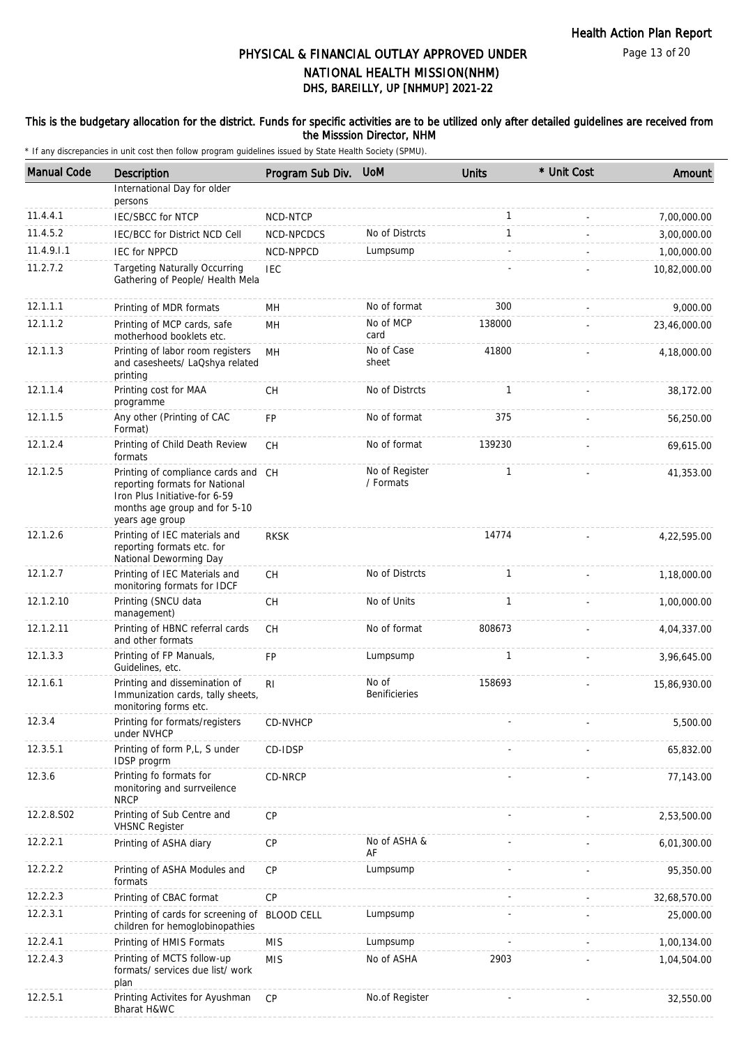Page 13 of 20

# DHS, BAREILLY, UP [NHMUP] 2021-22 PHYSICAL & FINANCIAL OUTLAY APPROVED UNDER NATIONAL HEALTH MISSION(NHM)

### This is the budgetary allocation for the district. Funds for specific activities are to be utilized only after detailed guidelines are received from the Misssion Director, NHM

| <b>Manual Code</b> | <b>Description</b>                                                                                                                                         | Program Sub Div. UoM |                               | <b>Units</b> | * Unit Cost | Amount       |
|--------------------|------------------------------------------------------------------------------------------------------------------------------------------------------------|----------------------|-------------------------------|--------------|-------------|--------------|
|                    | International Day for older<br>persons                                                                                                                     |                      |                               |              |             |              |
| 11.4.4.1           | IEC/SBCC for NTCP                                                                                                                                          | NCD-NTCP             |                               | $\mathbf{1}$ |             | 7,00,000.00  |
| 11.4.5.2           | <b>IEC/BCC for District NCD Cell</b>                                                                                                                       | NCD-NPCDCS           | No of Distrcts                | $\mathbf{1}$ |             | 3,00,000.00  |
| 11.4.9.1.1         | <b>IEC for NPPCD</b>                                                                                                                                       | NCD-NPPCD            | Lumpsump                      |              |             | 1,00,000.00  |
| 11.2.7.2           | <b>Targeting Naturally Occurring</b><br>Gathering of People/ Health Mela                                                                                   | <b>IEC</b>           |                               |              |             | 10,82,000.00 |
| 12.1.1.1           | Printing of MDR formats                                                                                                                                    | MН                   | No of format                  | 300          |             | 9,000.00     |
| 12.1.1.2           | Printing of MCP cards, safe<br>motherhood booklets etc.                                                                                                    | MH                   | No of MCP<br>card             | 138000       |             | 23,46,000.00 |
| 12.1.1.3           | Printing of labor room registers<br>and casesheets/ LaQshya related<br>printing                                                                            | MH                   | No of Case<br>sheet           | 41800        |             | 4,18,000.00  |
| 12.1.1.4           | Printing cost for MAA<br>programme                                                                                                                         | <b>CH</b>            | No of Distrcts                | $\mathbf{1}$ |             | 38,172.00    |
| 12.1.1.5           | Any other (Printing of CAC<br>Format)                                                                                                                      | FP                   | No of format                  | 375          |             | 56,250.00    |
| 12.1.2.4           | Printing of Child Death Review<br>formats                                                                                                                  | СH                   | No of format                  | 139230       |             | 69,615.00    |
| 12.1.2.5           | Printing of compliance cards and CH<br>reporting formats for National<br>Iron Plus Initiative-for 6-59<br>months age group and for 5-10<br>years age group |                      | No of Register<br>/ Formats   | $\mathbf{1}$ |             | 41,353.00    |
| 12.1.2.6           | Printing of IEC materials and<br>reporting formats etc. for<br>National Deworming Day                                                                      | <b>RKSK</b>          |                               | 14774        |             | 4,22,595.00  |
| 12.1.2.7           | Printing of IEC Materials and<br>monitoring formats for IDCF                                                                                               | CH                   | No of Distrcts                | 1            |             | 1,18,000.00  |
| 12.1.2.10          | Printing (SNCU data<br>management)                                                                                                                         | <b>CH</b>            | No of Units                   | $\mathbf{1}$ |             | 1,00,000.00  |
| 12.1.2.11          | Printing of HBNC referral cards<br>and other formats                                                                                                       | CH                   | No of format                  | 808673       |             | 4,04,337.00  |
| 12.1.3.3           | Printing of FP Manuals,<br>Guidelines, etc.                                                                                                                | FP                   | Lumpsump                      | $\mathbf{1}$ |             | 3,96,645.00  |
| 12.1.6.1           | Printing and dissemination of<br>Immunization cards, tally sheets,<br>monitoring forms etc.                                                                | R <sub>l</sub>       | No of<br><b>Benificieries</b> | 158693       |             | 15,86,930.00 |
| 12.3.4             | Printing for formats/registers<br>under NVHCP                                                                                                              | CD-NVHCP             |                               |              |             | 5,500.00     |
| 12.3.5.1           | Printing of form P,L, S under<br><b>IDSP</b> progrm                                                                                                        | CD-IDSP              |                               |              |             | 65,832.00    |
| 12.3.6             | Printing fo formats for<br>monitoring and surrveilence<br><b>NRCP</b>                                                                                      | CD-NRCP              |                               |              |             | 77,143.00    |
| 12.2.8.S02         | Printing of Sub Centre and<br><b>VHSNC Register</b>                                                                                                        | CP                   |                               |              |             | 2,53,500.00  |
| 12.2.2.1           | Printing of ASHA diary                                                                                                                                     | CP                   | No of ASHA &<br>AF            |              |             | 6,01,300.00  |
| 12.2.2.2           | Printing of ASHA Modules and<br>formats                                                                                                                    | <b>CP</b>            | Lumpsump                      |              |             | 95,350.00    |
| 12.2.2.3           | Printing of CBAC format                                                                                                                                    | CP                   |                               |              |             | 32,68,570.00 |
| 12.2.3.1           | Printing of cards for screening of<br>children for hemoglobinopathies                                                                                      | <b>BLOOD CELL</b>    | Lumpsump                      |              |             | 25,000.00    |
| 12.2.4.1           | Printing of HMIS Formats                                                                                                                                   | <b>MIS</b>           | Lumpsump                      |              |             | 1,00,134.00  |
| 12.2.4.3           | Printing of MCTS follow-up<br>formats/ services due list/ work<br>plan                                                                                     | <b>MIS</b>           | No of ASHA                    | 2903         |             | 1,04,504.00  |
| 12.2.5.1           | Printing Activites for Ayushman<br>Bharat H&WC                                                                                                             | CP                   | No.of Register                |              |             | 32,550.00    |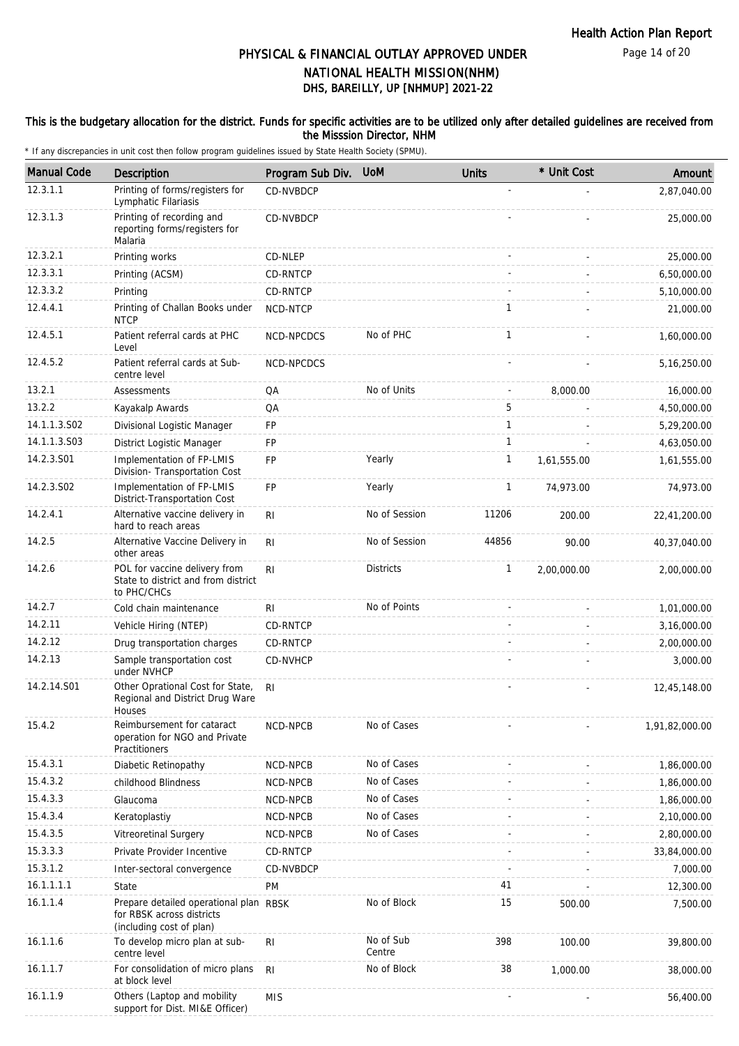Page 14 of 20

## DHS, BAREILLY, UP [NHMUP] 2021-22 PHYSICAL & FINANCIAL OUTLAY APPROVED UNDER NATIONAL HEALTH MISSION(NHM)

#### This is the budgetary allocation for the district. Funds for specific activities are to be utilized only after detailed guidelines are received from the Misssion Director, NHM

| <b>Manual Code</b> | Description                                                                                     | Program Sub Div. | <b>UoM</b>          | <b>Units</b>   | * Unit Cost | Amount         |
|--------------------|-------------------------------------------------------------------------------------------------|------------------|---------------------|----------------|-------------|----------------|
| 12.3.1.1           | Printing of forms/registers for<br>Lymphatic Filariasis                                         | CD-NVBDCP        |                     |                |             | 2,87,040.00    |
| 12.3.1.3           | Printing of recording and<br>reporting forms/registers for<br>Malaria                           | CD-NVBDCP        |                     |                |             | 25,000.00      |
| 12.3.2.1           | Printing works                                                                                  | CD-NLEP          |                     |                |             | 25,000.00      |
| 12.3.3.1           | Printing (ACSM)                                                                                 | CD-RNTCP         |                     |                |             | 6,50,000.00    |
| 12.3.3.2           | Printing                                                                                        | <b>CD-RNTCP</b>  |                     |                |             | 5,10,000.00    |
| 12.4.4.1           | Printing of Challan Books under<br><b>NTCP</b>                                                  | NCD-NTCP         |                     | 1              |             | 21,000.00      |
| 12.4.5.1           | Patient referral cards at PHC<br>Level                                                          | NCD-NPCDCS       | No of PHC           | $\mathbf{1}$   |             | 1,60,000.00    |
| 12.4.5.2           | Patient referral cards at Sub-<br>centre level                                                  | NCD-NPCDCS       |                     |                |             | 5,16,250.00    |
| 13.2.1             | Assessments                                                                                     | QA               | No of Units         | $\blacksquare$ | 8,000.00    | 16,000.00      |
| 13.2.2             | Kayakalp Awards                                                                                 | QA               |                     | 5              |             | 4,50,000.00    |
| 14.1.1.3.S02       | Divisional Logistic Manager                                                                     | <b>FP</b>        |                     | $\mathbf{1}$   |             | 5,29,200.00    |
| 14.1.1.3.S03       | District Logistic Manager                                                                       | FP               |                     | 1              |             | 4,63,050.00    |
| 14.2.3.S01         | Implementation of FP-LMIS<br>Division- Transportation Cost                                      | FP               | Yearly              | 1              | 1,61,555.00 | 1,61,555.00    |
| 14.2.3.S02         | Implementation of FP-LMIS<br>District-Transportation Cost                                       | <b>FP</b>        | Yearly              | $\mathbf{1}$   | 74,973.00   | 74,973.00      |
| 14.2.4.1           | Alternative vaccine delivery in<br>hard to reach areas                                          | R <sub>l</sub>   | No of Session       | 11206          | 200.00      | 22,41,200.00   |
| 14.2.5             | Alternative Vaccine Delivery in<br>other areas                                                  | R <sub>l</sub>   | No of Session       | 44856          | 90.00       | 40,37,040.00   |
| 14.2.6             | POL for vaccine delivery from<br>State to district and from district<br>to PHC/CHCs             | R <sub>l</sub>   | <b>Districts</b>    | $\mathbf{1}$   | 2,00,000.00 | 2,00,000.00    |
| 14.2.7             | Cold chain maintenance                                                                          | R <sub>l</sub>   | No of Points        |                |             | 1,01,000.00    |
| 14.2.11            | Vehicle Hiring (NTEP)                                                                           | CD-RNTCP         |                     |                |             | 3,16,000.00    |
| 14.2.12            | Drug transportation charges                                                                     | CD-RNTCP         |                     |                |             | 2,00,000.00    |
| 14.2.13            | Sample transportation cost<br>under NVHCP                                                       | CD-NVHCP         |                     |                |             | 3,000.00       |
| 14.2.14.S01        | Other Oprational Cost for State,<br>Regional and District Drug Ware<br>Houses                   | R <sub>l</sub>   |                     |                |             | 12,45,148.00   |
| 15.4.2             | Reimbursement for cataract<br>operation for NGO and Private<br>Practitioners                    | NCD-NPCB         | No of Cases         |                |             | 1,91,82,000.00 |
| 15.4.3.1           | Diabetic Retinopathy                                                                            | NCD-NPCB         | No of Cases         |                |             | 1,86,000.00    |
| 15.4.3.2           | childhood Blindness                                                                             | NCD-NPCB         | No of Cases         |                |             | 1,86,000.00    |
| 15.4.3.3           | Glaucoma                                                                                        | NCD-NPCB         | No of Cases         |                |             | 1,86,000.00    |
| 15.4.3.4           | Keratoplastiy                                                                                   | NCD-NPCB         | No of Cases         |                |             | 2,10,000.00    |
| 15.4.3.5           | Vitreoretinal Surgery                                                                           | NCD-NPCB         | No of Cases         |                |             | 2,80,000.00    |
| 15.3.3.3           | Private Provider Incentive                                                                      | CD-RNTCP         |                     |                |             | 33,84,000.00   |
| 15.3.1.2           | Inter-sectoral convergence                                                                      | CD-NVBDCP        |                     |                |             | 7,000.00       |
| 16.1.1.1.1         | State                                                                                           | PM               |                     | 41             |             | 12,300.00      |
| 16.1.1.4           | Prepare detailed operational plan RBSK<br>for RBSK across districts<br>(including cost of plan) |                  | No of Block         | 15             | 500.00      | 7,500.00       |
| 16.1.1.6           | To develop micro plan at sub-<br>centre level                                                   | R <sub>l</sub>   | No of Sub<br>Centre | 398            | 100.00      | 39,800.00      |
| 16.1.1.7           | For consolidation of micro plans<br>at block level                                              | R <sub>l</sub>   | No of Block         | 38             | 1,000.00    | 38,000.00      |
| 16.1.1.9           | Others (Laptop and mobility<br>support for Dist. MI&E Officer)                                  | <b>MIS</b>       |                     |                |             | 56,400.00      |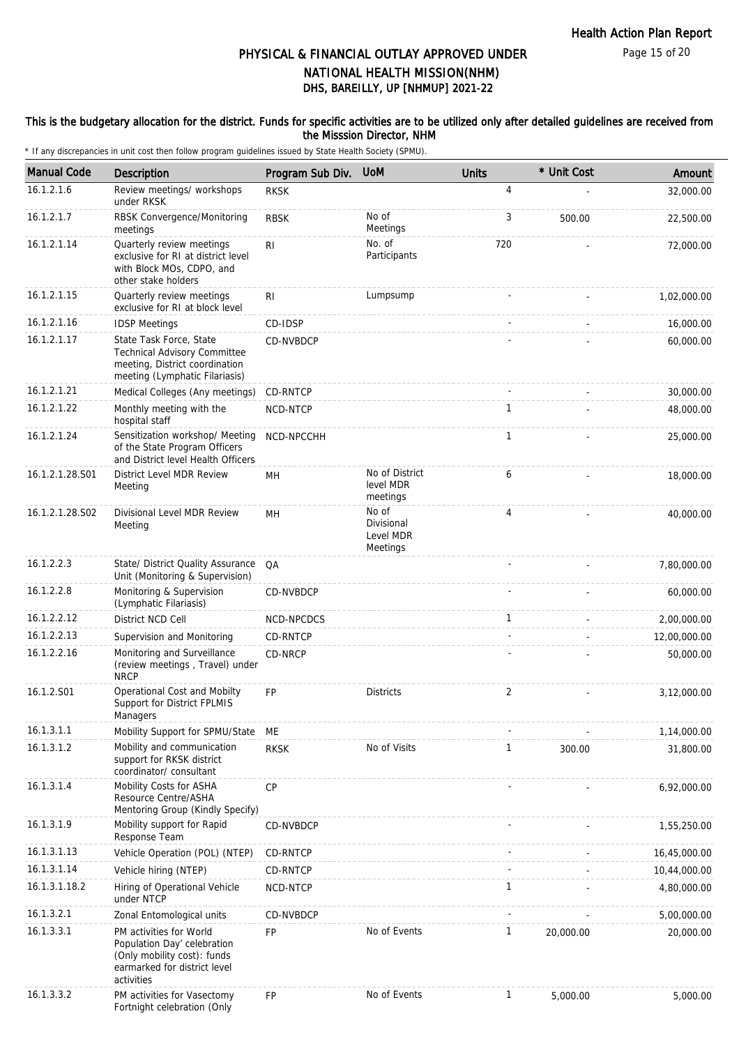#### This is the budgetary allocation for the district. Funds for specific activities are to be utilized only after detailed guidelines are received from the Misssion Director, NHM

| <b>Manual Code</b> | Description                                                                                                                         | Program Sub Div. | <b>UoM</b>                                   | <b>Units</b>   | * Unit Cost | Amount       |
|--------------------|-------------------------------------------------------------------------------------------------------------------------------------|------------------|----------------------------------------------|----------------|-------------|--------------|
| 16.1.2.1.6         | Review meetings/ workshops<br>under RKSK                                                                                            | <b>RKSK</b>      |                                              | 4              |             | 32,000.00    |
| 16.1.2.1.7         | RBSK Convergence/Monitoring<br>meetings                                                                                             | <b>RBSK</b>      | No of<br>Meetings                            | 3              | 500.00      | 22,500.00    |
| 16.1.2.1.14        | Quarterly review meetings<br>exclusive for RI at district level<br>with Block MOs, CDPO, and<br>other stake holders                 | R <sub>l</sub>   | No. of<br>Participants                       | 720            |             | 72,000.00    |
| 16.1.2.1.15        | Quarterly review meetings<br>exclusive for RI at block level                                                                        | R <sub>1</sub>   | Lumpsump                                     |                |             | 1,02,000.00  |
| 16.1.2.1.16        | <b>IDSP Meetings</b>                                                                                                                | CD-IDSP          |                                              |                |             | 16,000.00    |
| 16.1.2.1.17        | State Task Force, State<br><b>Technical Advisory Committee</b><br>meeting, District coordination<br>meeting (Lymphatic Filariasis)  | CD-NVBDCP        |                                              |                |             | 60,000.00    |
| 16.1.2.1.21        | Medical Colleges (Any meetings)                                                                                                     | CD-RNTCP         |                                              | $\sim$         |             | 30,000.00    |
| 16.1.2.1.22        | Monthly meeting with the<br>hospital staff                                                                                          | NCD-NTCP         |                                              | 1              |             | 48,000.00    |
| 16.1.2.1.24        | Sensitization workshop/ Meeting<br>of the State Program Officers<br>and District level Health Officers                              | NCD-NPCCHH       |                                              | $\mathbf{1}$   |             | 25,000.00    |
| 16.1.2.1.28.S01    | District Level MDR Review<br>Meeting                                                                                                | MН               | No of District<br>level MDR<br>meetings      | 6              |             | 18,000.00    |
| 16.1.2.1.28.S02    | Divisional Level MDR Review<br>Meeting                                                                                              | MН               | No of<br>Divisional<br>Level MDR<br>Meetings | $\overline{4}$ |             | 40,000.00    |
| 16.1.2.2.3         | State/ District Quality Assurance<br>Unit (Monitoring & Supervision)                                                                | QA               |                                              |                |             | 7,80,000.00  |
| 16.1.2.2.8         | Monitoring & Supervision<br>(Lymphatic Filariasis)                                                                                  | CD-NVBDCP        |                                              |                |             | 60,000.00    |
| 16.1.2.2.12        | District NCD Cell                                                                                                                   | NCD-NPCDCS       |                                              | $\mathbf{1}$   |             | 2,00,000.00  |
| 16.1.2.2.13        | Supervision and Monitoring                                                                                                          | CD-RNTCP         |                                              |                |             | 12,00,000.00 |
| 16.1.2.2.16        | Monitoring and Surveillance<br>(review meetings, Travel) under<br><b>NRCP</b>                                                       | CD-NRCP          |                                              |                |             | 50,000.00    |
| 16.1.2.S01         | Operational Cost and Mobilty<br>Support for District FPLMIS<br>Managers                                                             | <b>FP</b>        | <b>Districts</b>                             | 2              |             | 3,12,000.00  |
| 16.1.3.1.1         | Mobility Support for SPMU/State                                                                                                     | МE               |                                              |                |             | 1,14,000.00  |
| 16.1.3.1.2         | Mobility and communication<br>support for RKSK district<br>coordinator/consultant                                                   | <b>RKSK</b>      | No of Visits                                 | 1              | 300.00      | 31,800.00    |
| 16.1.3.1.4         | Mobility Costs for ASHA<br>Resource Centre/ASHA<br>Mentoring Group (Kindly Specify)                                                 | <b>CP</b>        |                                              |                |             | 6,92,000.00  |
| 16.1.3.1.9         | Mobility support for Rapid<br>Response Team                                                                                         | CD-NVBDCP        |                                              |                |             | 1,55,250.00  |
| 16.1.3.1.13        | Vehicle Operation (POL) (NTEP)                                                                                                      | CD-RNTCP         |                                              |                |             | 16,45,000.00 |
| 16.1.3.1.14        | Vehicle hiring (NTEP)                                                                                                               | CD-RNTCP         |                                              |                |             | 10,44,000.00 |
| 16.1.3.1.18.2      | Hiring of Operational Vehicle<br>under NTCP                                                                                         | NCD-NTCP         |                                              | 1              |             | 4,80,000.00  |
| 16.1.3.2.1         | Zonal Entomological units                                                                                                           | CD-NVBDCP        |                                              |                |             | 5,00,000.00  |
| 16.1.3.3.1         | PM activities for World<br>Population Day' celebration<br>(Only mobility cost): funds<br>earmarked for district level<br>activities | <b>FP</b>        | No of Events                                 | $\mathbf{1}$   | 20,000.00   | 20,000.00    |
| 16.1.3.3.2         | PM activities for Vasectomy<br>Fortnight celebration (Only                                                                          | <b>FP</b>        | No of Events                                 | $\mathbf{1}$   | 5,000.00    | 5,000.00     |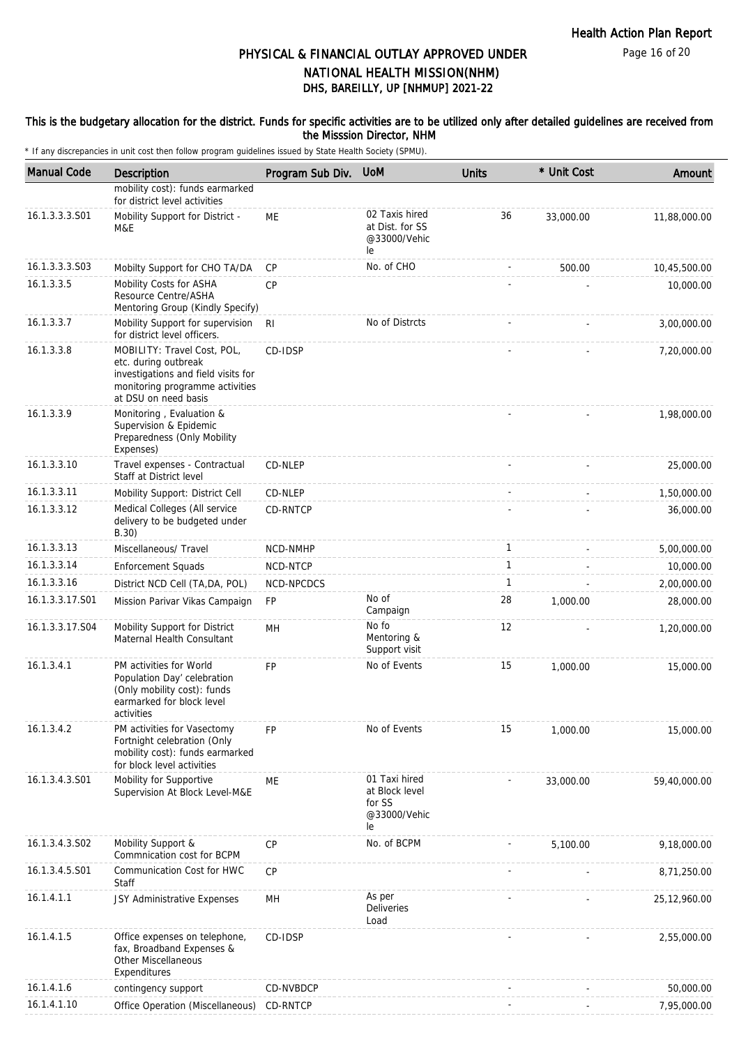#### This is the budgetary allocation for the district. Funds for specific activities are to be utilized only after detailed guidelines are received from the Misssion Director, NHM

| <b>Manual Code</b> | Description                                                                                                                                           | Program Sub Div. | <b>UoM</b>                                                      | <b>Units</b> | * Unit Cost | Amount       |
|--------------------|-------------------------------------------------------------------------------------------------------------------------------------------------------|------------------|-----------------------------------------------------------------|--------------|-------------|--------------|
|                    | mobility cost): funds earmarked<br>for district level activities                                                                                      |                  |                                                                 |              |             |              |
| 16.1.3.3.3.S01     | Mobility Support for District -<br>M&E                                                                                                                | <b>ME</b>        | 02 Taxis hired<br>at Dist. for SS<br>@33000/Vehic<br>le         | 36           | 33,000.00   | 11,88,000.00 |
| 16.1.3.3.3.S03     | Mobilty Support for CHO TA/DA                                                                                                                         | CP               | No. of CHO                                                      |              | 500.00      | 10,45,500.00 |
| 16.1.3.3.5         | Mobility Costs for ASHA<br>Resource Centre/ASHA<br>Mentoring Group (Kindly Specify)                                                                   | CP               |                                                                 |              |             | 10,000.00    |
| 16.1.3.3.7         | Mobility Support for supervision<br>for district level officers.                                                                                      | RI               | No of Distrcts                                                  |              |             | 3,00,000.00  |
| 16.1.3.3.8         | MOBILITY: Travel Cost, POL,<br>etc. during outbreak<br>investigations and field visits for<br>monitoring programme activities<br>at DSU on need basis | CD-IDSP          |                                                                 |              |             | 7,20,000.00  |
| 16.1.3.3.9         | Monitoring, Evaluation &<br>Supervision & Epidemic<br>Preparedness (Only Mobility<br>Expenses)                                                        |                  |                                                                 |              |             | 1,98,000.00  |
| 16.1.3.3.10        | Travel expenses - Contractual<br>Staff at District level                                                                                              | CD-NLEP          |                                                                 |              |             | 25,000.00    |
| 16.1.3.3.11        | Mobility Support: District Cell                                                                                                                       | CD-NLEP          |                                                                 |              |             | 1,50,000.00  |
| 16.1.3.3.12        | Medical Colleges (All service<br>delivery to be budgeted under<br>B.30)                                                                               | CD-RNTCP         |                                                                 |              |             | 36,000.00    |
| 16.1.3.3.13        | Miscellaneous/ Travel                                                                                                                                 | NCD-NMHP         |                                                                 | 1            |             | 5,00,000.00  |
| 16.1.3.3.14        | <b>Enforcement Squads</b>                                                                                                                             | NCD-NTCP         |                                                                 | $\mathbf{1}$ |             | 10,000.00    |
| 16.1.3.3.16        | District NCD Cell (TA, DA, POL)                                                                                                                       | NCD-NPCDCS       |                                                                 | 1            |             | 2,00,000.00  |
| 16.1.3.3.17.S01    | Mission Parivar Vikas Campaign                                                                                                                        | <b>FP</b>        | No of<br>Campaign                                               | 28           | 1,000.00    | 28,000.00    |
| 16.1.3.3.17.S04    | Mobility Support for District<br>Maternal Health Consultant                                                                                           | <b>MH</b>        | No fo<br>Mentoring &<br>Support visit                           | 12           |             | 1,20,000.00  |
| 16.1.3.4.1         | PM activities for World<br>Population Day' celebration<br>(Only mobility cost): funds<br>earmarked for block level<br>activities                      | <b>FP</b>        | No of Events                                                    | 15           | 1,000.00    | 15,000.00    |
| 16.1.3.4.2         | PM activities for Vasectomy<br>Fortnight celebration (Only<br>mobility cost): funds earmarked<br>for block level activities                           | <b>FP</b>        | No of Events                                                    | 15           | 1,000.00    | 15,000.00    |
| 16.1.3.4.3.S01     | Mobility for Supportive<br>Supervision At Block Level-M&E                                                                                             | ME               | 01 Taxi hired<br>at Block level<br>for SS<br>@33000/Vehic<br>le |              | 33,000.00   | 59,40,000.00 |
| 16.1.3.4.3.502     | Mobility Support &<br>Commnication cost for BCPM                                                                                                      | CP               | No. of BCPM                                                     |              | 5.100.00    | 9,18,000.00  |
| 16.1.3.4.5.S01     | Communication Cost for HWC<br>Staff                                                                                                                   | CP               |                                                                 |              |             | 8,71,250.00  |
| 16.1.4.1.1         | JSY Administrative Expenses                                                                                                                           | MH               | As per<br><b>Deliveries</b><br>Load                             |              |             | 25,12,960.00 |
| 16.1.4.1.5         | Office expenses on telephone,<br>fax, Broadband Expenses &<br>Other Miscellaneous<br>Expenditures                                                     | CD-IDSP          |                                                                 |              |             | 2,55,000.00  |
| 16.1.4.1.6         | contingency support                                                                                                                                   | CD-NVBDCP        |                                                                 |              |             | 50,000.00    |
| 16.1.4.1.10        | Office Operation (Miscellaneous)                                                                                                                      | CD-RNTCP         |                                                                 |              |             | 7,95,000.00  |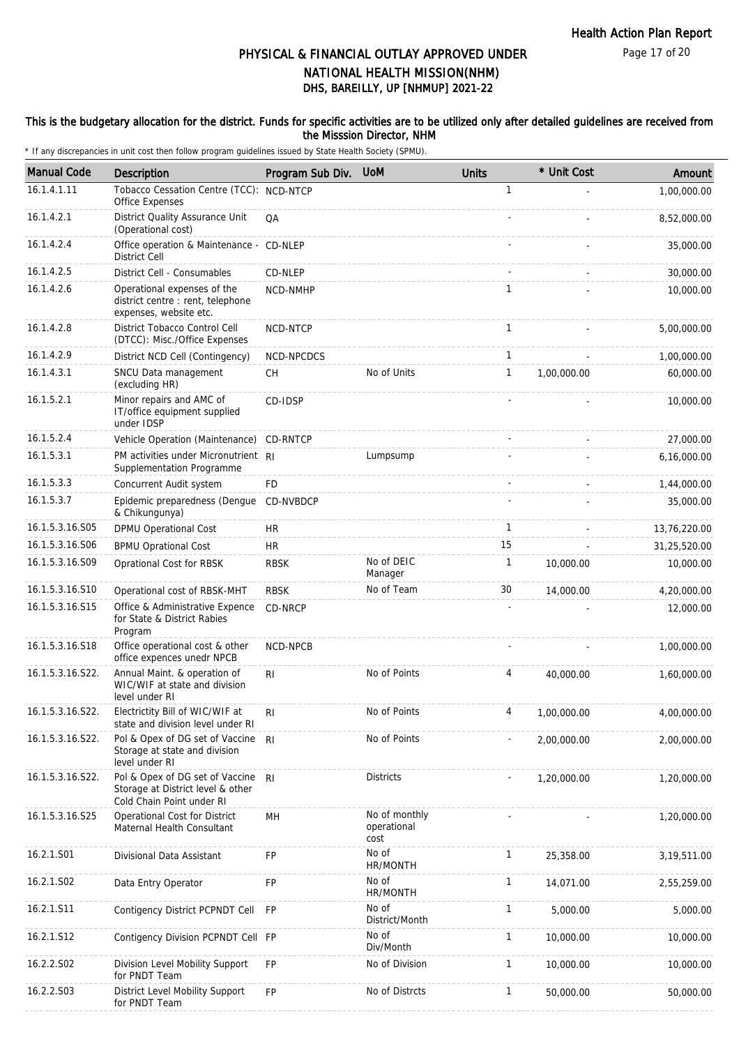Page 17 of 20

# DHS, BAREILLY, UP [NHMUP] 2021-22 PHYSICAL & FINANCIAL OUTLAY APPROVED UNDER NATIONAL HEALTH MISSION(NHM)

#### This is the budgetary allocation for the district. Funds for specific activities are to be utilized only after detailed guidelines are received from the Misssion Director, NHM

| <b>Manual Code</b> | Description                                                                                       | Program Sub Div. | <b>UoM</b>                           | <b>Units</b> | * Unit Cost | Amount       |
|--------------------|---------------------------------------------------------------------------------------------------|------------------|--------------------------------------|--------------|-------------|--------------|
| 16.1.4.1.11        | Tobacco Cessation Centre (TCC):<br><b>Office Expenses</b>                                         | NCD-NTCP         |                                      | $\mathbf{1}$ |             | 1,00,000.00  |
| 16.1.4.2.1         | District Quality Assurance Unit<br>(Operational cost)                                             | QA               |                                      |              |             | 8,52,000.00  |
| 16.1.4.2.4         | Office operation & Maintenance -<br>District Cell                                                 | CD-NLEP          |                                      |              |             | 35,000.00    |
| 16.1.4.2.5         | District Cell - Consumables                                                                       | CD-NLEP          |                                      | $\sim$       |             | 30,000.00    |
| 16.1.4.2.6         | Operational expenses of the<br>district centre : rent, telephone<br>expenses, website etc.        | NCD-NMHP         |                                      | 1            |             | 10,000.00    |
| 16.1.4.2.8         | District Tobacco Control Cell<br>(DTCC): Misc./Office Expenses                                    | NCD-NTCP         |                                      | $\mathbf{1}$ |             | 5,00,000.00  |
| 16.1.4.2.9         | District NCD Cell (Contingency)                                                                   | NCD-NPCDCS       |                                      | $\mathbf{1}$ |             | 1,00,000.00  |
| 16.1.4.3.1         | SNCU Data management<br>(excluding HR)                                                            | СH               | No of Units                          | 1            | 1,00,000.00 | 60,000.00    |
| 16.1.5.2.1         | Minor repairs and AMC of<br>IT/office equipment supplied<br>under IDSP                            | CD-IDSP          |                                      |              |             | 10,000.00    |
| 16.1.5.2.4         | Vehicle Operation (Maintenance)                                                                   | CD-RNTCP         |                                      |              |             | 27,000.00    |
| 16.1.5.3.1         | PM activities under Micronutrient RI<br>Supplementation Programme                                 |                  | Lumpsump                             |              |             | 6,16,000.00  |
| 16.1.5.3.3         | Concurrent Audit system                                                                           | <b>FD</b>        |                                      |              |             | 1,44,000.00  |
| 16.1.5.3.7         | Epidemic preparedness (Dengue<br>& Chikungunya)                                                   | CD-NVBDCP        |                                      |              |             | 35,000.00    |
| 16.1.5.3.16.S05    | <b>DPMU Operational Cost</b>                                                                      | <b>HR</b>        |                                      | $\mathbf{1}$ |             | 13,76,220.00 |
| 16.1.5.3.16.S06    | <b>BPMU Oprational Cost</b>                                                                       | <b>HR</b>        |                                      | 15           |             | 31,25,520.00 |
| 16.1.5.3.16.S09    | Oprational Cost for RBSK                                                                          | <b>RBSK</b>      | No of DEIC<br>Manager                | $\mathbf{1}$ | 10,000.00   | 10,000.00    |
| 16.1.5.3.16.S10    | Operational cost of RBSK-MHT                                                                      | <b>RBSK</b>      | No of Team                           | 30           | 14,000.00   | 4,20,000.00  |
| 16.1.5.3.16.S15    | Office & Administrative Expence<br>for State & District Rabies<br>Program                         | CD-NRCP          |                                      |              |             | 12,000.00    |
| 16.1.5.3.16.S18    | Office operational cost & other<br>office expences unedr NPCB                                     | <b>NCD-NPCB</b>  |                                      |              |             | 1,00,000.00  |
| 16.1.5.3.16.S22.   | Annual Maint. & operation of<br>WIC/WIF at state and division<br>level under RI                   | R <sub>l</sub>   | No of Points                         | 4            | 40,000.00   | 1,60,000.00  |
| 16.1.5.3.16.S22.   | Electrictity Bill of WIC/WIF at<br>state and division level under RI                              | RI               | No of Points                         | Δ            | 1,00,000.00 | 4,00,000.00  |
| 16.1.5.3.16.S22.   | Pol & Opex of DG set of Vaccine<br>Storage at state and division<br>level under RI                | -RI              | No of Points                         |              | 2,00,000.00 | 2,00,000.00  |
| 16.1.5.3.16.S22.   | Pol & Opex of DG set of Vaccine<br>Storage at District level & other<br>Cold Chain Point under RI | R <sub>l</sub>   | <b>Districts</b>                     |              | 1,20,000.00 | 1,20,000.00  |
| 16.1.5.3.16.S25    | Operational Cost for District<br>Maternal Health Consultant                                       | MH               | No of monthly<br>operational<br>cost |              |             | 1,20,000.00  |
| 16.2.1.S01         | Divisional Data Assistant                                                                         | FP               | No of<br>HR/MONTH                    | $\mathbf{1}$ | 25,358.00   | 3,19,511.00  |
| 16.2.1.S02         | Data Entry Operator                                                                               | FP               | No of<br>HR/MONTH                    | 1            | 14,071.00   | 2,55,259.00  |
| 16.2.1.S11         | Contigency District PCPNDT Cell                                                                   | FP               | No of<br>District/Month              | $\mathbf{1}$ | 5,000.00    | 5,000.00     |
| 16.2.1.S12         | Contigency Division PCPNDT Cell FP                                                                |                  | No of<br>Div/Month                   | $\mathbf{1}$ | 10,000.00   | 10,000.00    |
| 16.2.2.S02         | Division Level Mobility Support<br>for PNDT Team                                                  | FP               | No of Division                       | 1            | 10,000.00   | 10,000.00    |
| 16.2.2.S03         | District Level Mobility Support<br>for PNDT Team                                                  | FP               | No of Distrcts                       | 1            | 50,000.00   | 50,000.00    |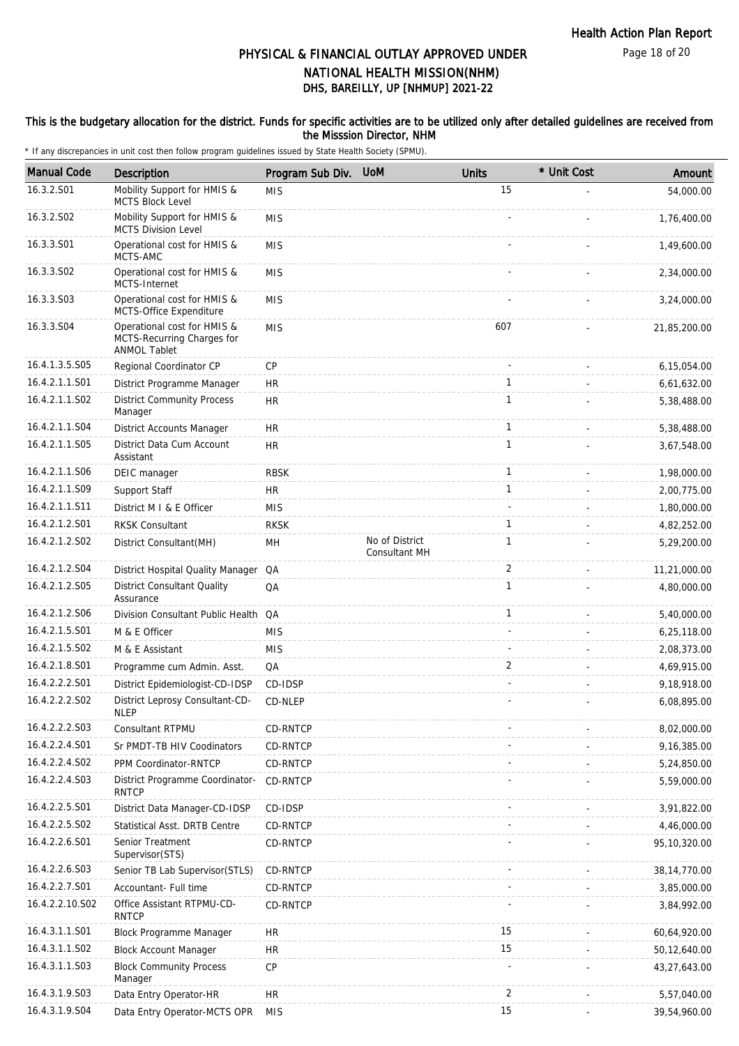#### This is the budgetary allocation for the district. Funds for specific activities are to be utilized only after detailed guidelines are received from the Misssion Director, NHM

| <b>Manual Code</b> | Description                                                                      | Program Sub Div. | <b>UoM</b>                      | <b>Units</b>   | * Unit Cost | Amount         |
|--------------------|----------------------------------------------------------------------------------|------------------|---------------------------------|----------------|-------------|----------------|
| 16.3.2.S01         | Mobility Support for HMIS &<br><b>MCTS Block Level</b>                           | <b>MIS</b>       |                                 | 15             |             | 54,000.00      |
| 16.3.2.S02         | Mobility Support for HMIS &<br><b>MCTS Division Level</b>                        | <b>MIS</b>       |                                 |                |             | 1,76,400.00    |
| 16.3.3.S01         | Operational cost for HMIS &<br>MCTS-AMC                                          | <b>MIS</b>       |                                 |                |             | 1,49,600.00    |
| 16.3.3.S02         | Operational cost for HMIS &<br>MCTS-Internet                                     | <b>MIS</b>       |                                 |                |             | 2,34,000.00    |
| 16.3.3.S03         | Operational cost for HMIS &<br>MCTS-Office Expenditure                           | <b>MIS</b>       |                                 |                |             | 3,24,000.00    |
| 16.3.3.S04         | Operational cost for HMIS &<br>MCTS-Recurring Charges for<br><b>ANMOL Tablet</b> | <b>MIS</b>       |                                 | 607            |             | 21,85,200.00   |
| 16.4.1.3.5.S05     | Regional Coordinator CP                                                          | <b>CP</b>        |                                 |                |             | 6,15,054.00    |
| 16.4.2.1.1.S01     | District Programme Manager                                                       | <b>HR</b>        |                                 | 1              |             | 6,61,632.00    |
| 16.4.2.1.1.S02     | <b>District Community Process</b><br>Manager                                     | HR.              |                                 | 1              |             | 5,38,488.00    |
| 16.4.2.1.1.S04     | <b>District Accounts Manager</b>                                                 | HR               |                                 | $\mathbf{1}$   |             | 5,38,488.00    |
| 16.4.2.1.1.S05     | District Data Cum Account<br>Assistant                                           | HR               |                                 | $\mathbf{1}$   |             | 3,67,548.00    |
| 16.4.2.1.1.S06     | DEIC manager                                                                     | <b>RBSK</b>      |                                 | $\mathbf{1}$   |             | 1,98,000.00    |
| 16.4.2.1.1.S09     | Support Staff                                                                    | HR.              |                                 | 1              |             | 2,00,775.00    |
| 16.4.2.1.1.S11     | District M I & E Officer                                                         | <b>MIS</b>       |                                 |                |             | 1,80,000.00    |
| 16.4.2.1.2.S01     | <b>RKSK Consultant</b>                                                           | <b>RKSK</b>      |                                 | $\mathbf{1}$   |             | 4,82,252.00    |
| 16.4.2.1.2.502     | District Consultant(MH)                                                          | MH               | No of District<br>Consultant MH | 1              |             | 5,29,200.00    |
| 16.4.2.1.2.S04     | District Hospital Quality Manager                                                | QA               |                                 | 2              |             | 11,21,000.00   |
| 16.4.2.1.2.S05     | <b>District Consultant Quality</b><br>Assurance                                  | QA               |                                 | $\mathbf{1}$   |             | 4,80,000.00    |
| 16.4.2.1.2.S06     | Division Consultant Public Health QA                                             |                  |                                 | $\mathbf{1}$   |             | 5,40,000.00    |
| 16.4.2.1.5.S01     | M & E Officer                                                                    | <b>MIS</b>       |                                 |                |             | 6,25,118.00    |
| 16.4.2.1.5.S02     | M & E Assistant                                                                  | <b>MIS</b>       |                                 |                |             | 2,08,373.00    |
| 16.4.2.1.8.S01     | Programme cum Admin. Asst.                                                       | QA               |                                 | 2              |             | 4,69,915.00    |
| 16.4.2.2.2.S01     | District Epidemiologist-CD-IDSP                                                  | CD-IDSP          |                                 |                |             | 9,18,918.00    |
| 16.4.2.2.2.S02     | District Leprosy Consultant-CD-<br>NLEP                                          | CD-NLEP          |                                 |                |             | 6,08,895.00    |
| 16.4.2.2.2.S03     | Consultant RTPMU                                                                 | CD-RNTCP         |                                 |                |             | 8,02,000.00    |
| 16.4.2.2.4.S01     | Sr PMDT-TB HIV Coodinators                                                       | CD-RNTCP         |                                 |                |             | 9,16,385.00    |
| 16.4.2.2.4.S02     | PPM Coordinator-RNTCP                                                            | CD-RNTCP         |                                 |                |             | 5,24,850.00    |
| 16.4.2.2.4.S03     | District Programme Coordinator-<br><b>RNTCP</b>                                  | CD-RNTCP         |                                 |                |             | 5,59,000.00    |
| 16.4.2.2.5.S01     | District Data Manager-CD-IDSP                                                    | CD-IDSP          |                                 |                |             | 3,91,822.00    |
| 16.4.2.2.5.S02     | Statistical Asst. DRTB Centre                                                    | CD-RNTCP         |                                 |                |             | 4,46,000.00    |
| 16.4.2.2.6.S01     | Senior Treatment<br>Supervisor(STS)                                              | CD-RNTCP         |                                 |                |             | 95,10,320.00   |
| 16.4.2.2.6.S03     | Senior TB Lab Supervisor(STLS)                                                   | CD-RNTCP         |                                 |                |             | 38, 14, 770.00 |
| 16.4.2.2.7.S01     | Accountant- Full time                                                            | CD-RNTCP         |                                 |                |             | 3,85,000.00    |
| 16.4.2.2.10.S02    | Office Assistant RTPMU-CD-<br><b>RNTCP</b>                                       | CD-RNTCP         |                                 |                |             | 3,84,992.00    |
| 16.4.3.1.1.S01     | Block Programme Manager                                                          | <b>HR</b>        |                                 | 15             |             | 60,64,920.00   |
| 16.4.3.1.1.S02     | <b>Block Account Manager</b>                                                     | HR               |                                 | 15             |             | 50,12,640.00   |
| 16.4.3.1.1.S03     | <b>Block Community Process</b><br>Manager                                        | CP               |                                 |                |             | 43,27,643.00   |
| 16.4.3.1.9.S03     | Data Entry Operator-HR                                                           | <b>HR</b>        |                                 | $\overline{2}$ |             | 5,57,040.00    |
| 16.4.3.1.9.S04     | Data Entry Operator-MCTS OPR                                                     | <b>MIS</b>       |                                 | 15             |             | 39,54,960.00   |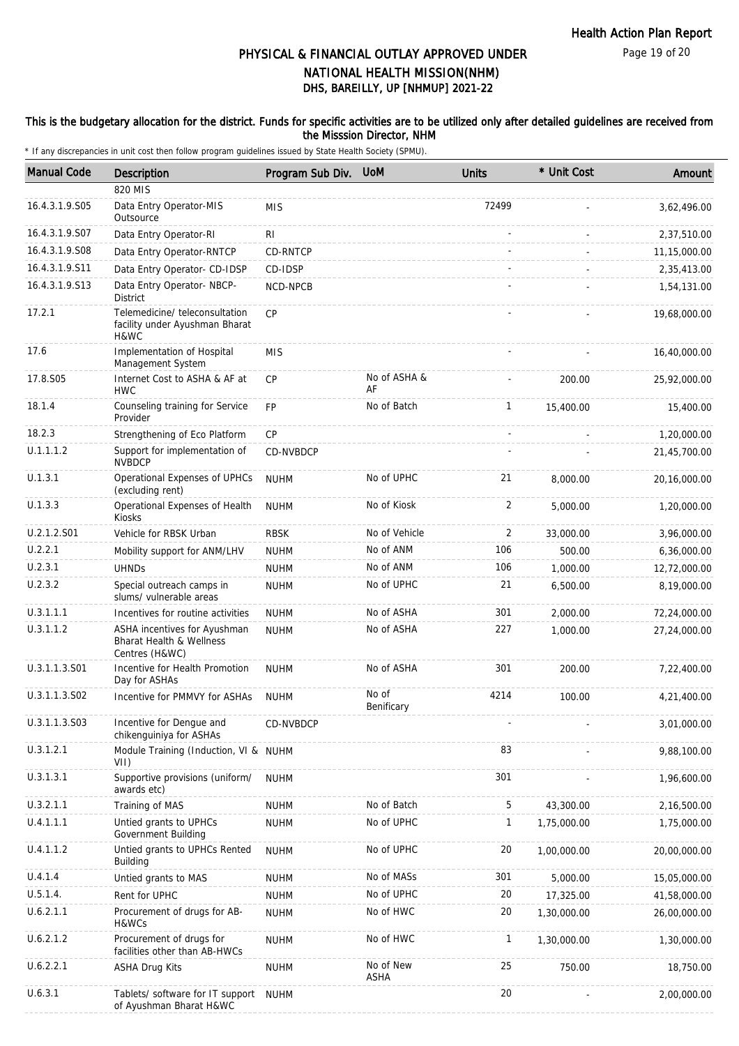#### This is the budgetary allocation for the district. Funds for specific activities are to be utilized only after detailed guidelines are received from the Misssion Director, NHM

| <b>Manual Code</b> | <b>Description</b>                                                                    | Program Sub Div. | <b>UoM</b>          | <b>Units</b> | * Unit Cost | Amount       |
|--------------------|---------------------------------------------------------------------------------------|------------------|---------------------|--------------|-------------|--------------|
|                    | 820 MIS                                                                               |                  |                     |              |             |              |
| 16.4.3.1.9.S05     | Data Entry Operator-MIS<br>Outsource                                                  | <b>MIS</b>       |                     | 72499        |             | 3,62,496.00  |
| 16.4.3.1.9.S07     | Data Entry Operator-RI                                                                | R <sub>l</sub>   |                     |              |             | 2,37,510.00  |
| 16.4.3.1.9.S08     | Data Entry Operator-RNTCP                                                             | CD-RNTCP         |                     |              |             | 11,15,000.00 |
| 16.4.3.1.9.S11     | Data Entry Operator- CD-IDSP                                                          | CD-IDSP          |                     |              |             | 2,35,413.00  |
| 16.4.3.1.9.S13     | Data Entry Operator- NBCP-<br><b>District</b>                                         | NCD-NPCB         |                     |              |             | 1,54,131.00  |
| 17.2.1             | Telemedicine/ teleconsultation<br>facility under Ayushman Bharat<br>H&WC              | CP               |                     |              |             | 19,68,000.00 |
| 17.6               | Implementation of Hospital<br>Management System                                       | <b>MIS</b>       |                     |              |             | 16,40,000.00 |
| 17.8.S05           | Internet Cost to ASHA & AF at<br><b>HWC</b>                                           | <b>CP</b>        | No of ASHA &<br>AF  |              | 200.00      | 25,92,000.00 |
| 18.1.4             | Counseling training for Service<br>Provider                                           | <b>FP</b>        | No of Batch         | $\mathbf{1}$ | 15,400.00   | 15,400.00    |
| 18.2.3             | Strengthening of Eco Platform                                                         | CP               |                     |              |             | 1,20,000.00  |
| U.1.1.1.2          | Support for implementation of<br><b>NVBDCP</b>                                        | CD-NVBDCP        |                     |              |             | 21,45,700.00 |
| U.1.3.1            | Operational Expenses of UPHCs<br>(excluding rent)                                     | <b>NUHM</b>      | No of UPHC          | 21           | 8,000.00    | 20,16,000.00 |
| U.1.3.3            | Operational Expenses of Health<br>Kiosks                                              | <b>NUHM</b>      | No of Kiosk         | 2            | 5,000.00    | 1,20,000.00  |
| U.2.1.2.S01        | Vehicle for RBSK Urban                                                                | <b>RBSK</b>      | No of Vehicle       | 2            | 33,000.00   | 3,96,000.00  |
| U.2.2.1            | Mobility support for ANM/LHV                                                          | <b>NUHM</b>      | No of ANM           | 106          | 500.00      | 6,36,000.00  |
| U.2.3.1            | <b>UHNDs</b>                                                                          | <b>NUHM</b>      | No of ANM           | 106          | 1,000.00    | 12,72,000.00 |
| U.2.3.2            | Special outreach camps in<br>slums/ vulnerable areas                                  | <b>NUHM</b>      | No of UPHC          | 21           | 6,500.00    | 8,19,000.00  |
| U.3.1.1.1          | Incentives for routine activities                                                     | <b>NUHM</b>      | No of ASHA          | 301          | 2,000.00    | 72,24,000.00 |
| U.3.1.1.2          | ASHA incentives for Ayushman<br><b>Bharat Health &amp; Wellness</b><br>Centres (H&WC) | <b>NUHM</b>      | No of ASHA          | 227          | 1,000.00    | 27,24,000.00 |
| U.3.1.1.3.S01      | Incentive for Health Promotion<br>Day for ASHAs                                       | <b>NUHM</b>      | No of ASHA          | 301          | 200.00      | 7,22,400.00  |
| U.3.1.1.3.S02      | Incentive for PMMVY for ASHAs                                                         | <b>NUHM</b>      | No of<br>Benificary | 4214         | 100.00      | 4,21,400.00  |
| U.3.1.1.3.S03      | Incentive for Dengue and<br>chikenguiniya for ASHAs                                   | CD-NVBDCP        |                     |              |             | 3,01,000.00  |
| U.3.1.2.1          | Module Training (Induction, VI & NUHM<br>VII)                                         |                  |                     | 83           |             | 9,88,100.00  |
| U.3.1.3.1          | Supportive provisions (uniform/<br>awards etc)                                        | <b>NUHM</b>      |                     | 301          |             | 1,96,600.00  |
| U.3.2.1.1          | Training of MAS                                                                       | <b>NUHM</b>      | No of Batch         | 5            | 43,300.00   | 2,16,500.00  |
| U.4.1.1.1          | Untied grants to UPHCs<br>Government Building                                         | <b>NUHM</b>      | No of UPHC          | 1            | 1,75,000.00 | 1,75,000.00  |
| U.4.1.1.2          | Untied grants to UPHCs Rented<br>Building                                             | <b>NUHM</b>      | No of UPHC          | 20           | 1,00,000.00 | 20,00,000.00 |
| U.4.1.4            | Untied grants to MAS                                                                  | <b>NUHM</b>      | No of MASs          | 301          | 5,000.00    | 15,05,000.00 |
| U.5.1.4.           | Rent for UPHC                                                                         | <b>NUHM</b>      | No of UPHC          | 20           | 17,325.00   | 41,58,000.00 |
| U.6.2.1.1          | Procurement of drugs for AB-<br>H&WCs                                                 | <b>NUHM</b>      | No of HWC           | 20           | 1,30,000.00 | 26,00,000.00 |
| U.6.2.1.2          | Procurement of drugs for<br>facilities other than AB-HWCs                             | <b>NUHM</b>      | No of HWC           | 1            | 1,30,000.00 | 1,30,000.00  |
| U.6.2.2.1          | <b>ASHA Drug Kits</b>                                                                 | <b>NUHM</b>      | No of New<br>ASHA   | 25           | 750.00      | 18,750.00    |
| U.6.3.1            | Tablets/ software for IT support<br>of Ayushman Bharat H&WC                           | <b>NUHM</b>      |                     | 20           |             | 2,00,000.00  |